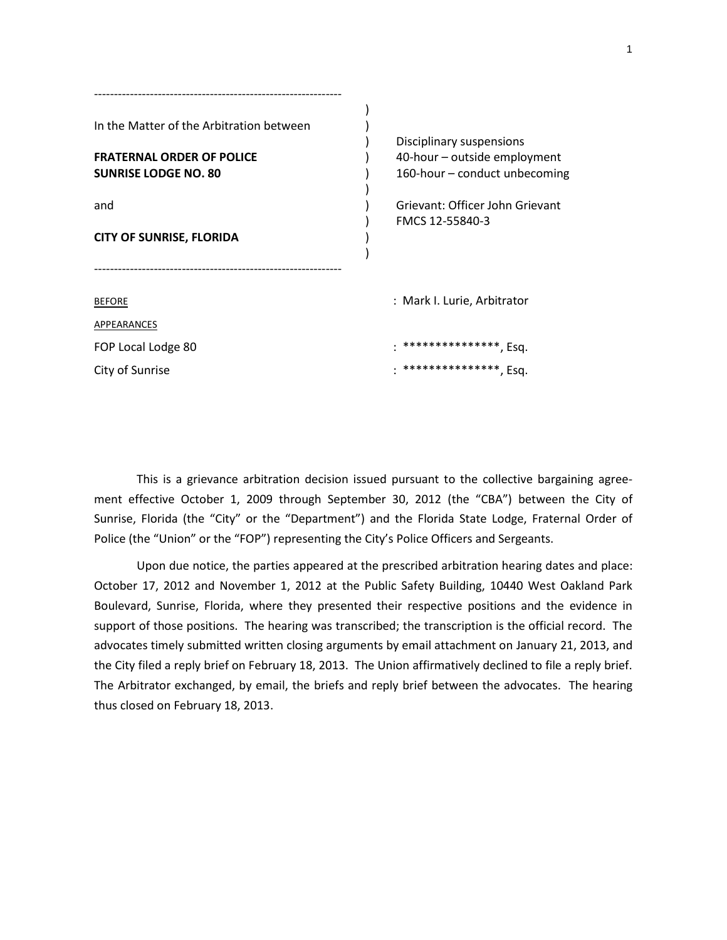| In the Matter of the Arbitration between | Disciplinary suspensions        |
|------------------------------------------|---------------------------------|
| <b>FRATERNAL ORDER OF POLICE</b>         | 40-hour - outside employment    |
| <b>SUNRISE LODGE NO. 80</b>              | 160-hour – conduct unbecoming   |
| and                                      | Grievant: Officer John Grievant |
|                                          | FMCS 12-55840-3                 |
| <b>CITY OF SUNRISE, FLORIDA</b>          |                                 |
|                                          |                                 |
| <b>BEFORE</b>                            | : Mark I. Lurie, Arbitrator     |
| APPEARANCES                              |                                 |
| FOP Local Lodge 80                       | ****************, Esq.          |
| City of Sunrise                          | ****************, Esq.          |
|                                          |                                 |

This is a grievance arbitration decision issued pursuant to the collective bargaining agreement effective October 1, 2009 through September 30, 2012 (the "CBA") between the City of Sunrise, Florida (the "City" or the "Department") and the Florida State Lodge, Fraternal Order of Police (the "Union" or the "FOP") representing the City's Police Officers and Sergeants.

Upon due notice, the parties appeared at the prescribed arbitration hearing dates and place: October 17, 2012 and November 1, 2012 at the Public Safety Building, 10440 West Oakland Park Boulevard, Sunrise, Florida, where they presented their respective positions and the evidence in support of those positions. The hearing was transcribed; the transcription is the official record. The advocates timely submitted written closing arguments by email attachment on January 21, 2013, and the City filed a reply brief on February 18, 2013. The Union affirmatively declined to file a reply brief. The Arbitrator exchanged, by email, the briefs and reply brief between the advocates. The hearing thus closed on February 18, 2013.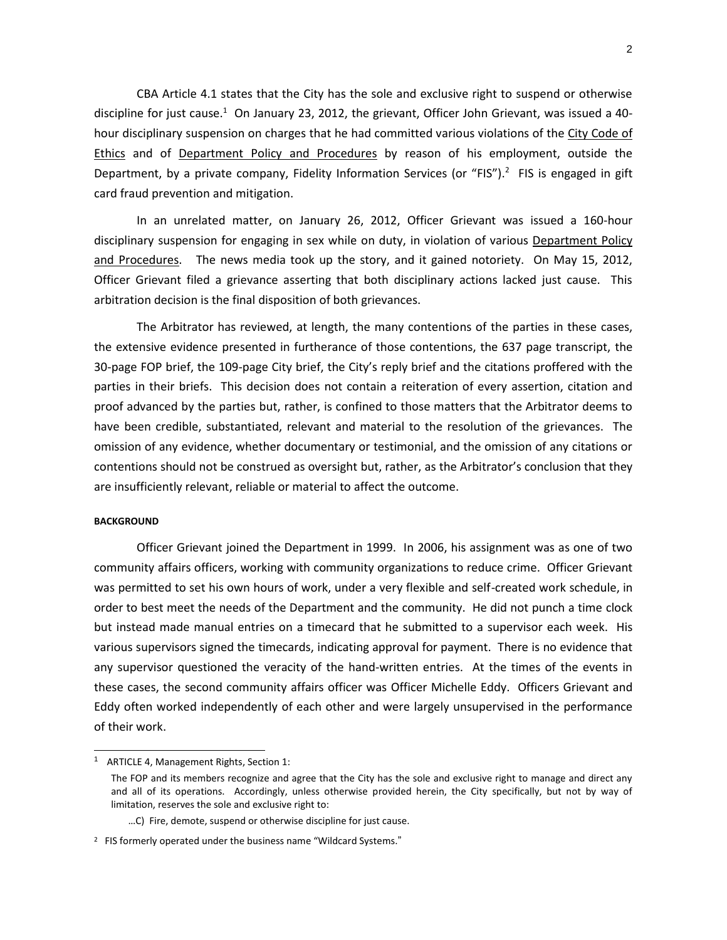CBA Article 4.1 states that the City has the sole and exclusive right to suspend or otherwise discipline for just cause.<sup>1</sup> On January 23, 2012, the grievant, Officer John Grievant, was issued a 40hour disciplinary suspension on charges that he had committed various violations of the City Code of Ethics and of Department Policy and Procedures by reason of his employment, outside the Department, by a private company, Fidelity Information Services (or "FIS").<sup>2</sup> FIS is engaged in gift card fraud prevention and mitigation.

In an unrelated matter, on January 26, 2012, Officer Grievant was issued a 160-hour disciplinary suspension for engaging in sex while on duty, in violation of various Department Policy and Procedures. The news media took up the story, and it gained notoriety. On May 15, 2012, Officer Grievant filed a grievance asserting that both disciplinary actions lacked just cause. This arbitration decision is the final disposition of both grievances.

The Arbitrator has reviewed, at length, the many contentions of the parties in these cases, the extensive evidence presented in furtherance of those contentions, the 637 page transcript, the 30-page FOP brief, the 109-page City brief, the City's reply brief and the citations proffered with the parties in their briefs. This decision does not contain a reiteration of every assertion, citation and proof advanced by the parties but, rather, is confined to those matters that the Arbitrator deems to have been credible, substantiated, relevant and material to the resolution of the grievances. The omission of any evidence, whether documentary or testimonial, and the omission of any citations or contentions should not be construed as oversight but, rather, as the Arbitrator's conclusion that they are insufficiently relevant, reliable or material to affect the outcome.

### **BACKGROUND**

l

Officer Grievant joined the Department in 1999. In 2006, his assignment was as one of two community affairs officers, working with community organizations to reduce crime. Officer Grievant was permitted to set his own hours of work, under a very flexible and self-created work schedule, in order to best meet the needs of the Department and the community. He did not punch a time clock but instead made manual entries on a timecard that he submitted to a supervisor each week. His various supervisors signed the timecards, indicating approval for payment. There is no evidence that any supervisor questioned the veracity of the hand-written entries. At the times of the events in these cases, the second community affairs officer was Officer Michelle Eddy. Officers Grievant and Eddy often worked independently of each other and were largely unsupervised in the performance of their work.

<sup>&</sup>lt;sup>1</sup> ARTICLE 4, Management Rights, Section 1:

The FOP and its members recognize and agree that the City has the sole and exclusive right to manage and direct any and all of its operations. Accordingly, unless otherwise provided herein, the City specifically, but not by way of limitation, reserves the sole and exclusive right to:

<sup>…</sup>C) Fire, demote, suspend or otherwise discipline for just cause.

<sup>&</sup>lt;sup>2</sup> FIS formerly operated under the business name "Wildcard Systems."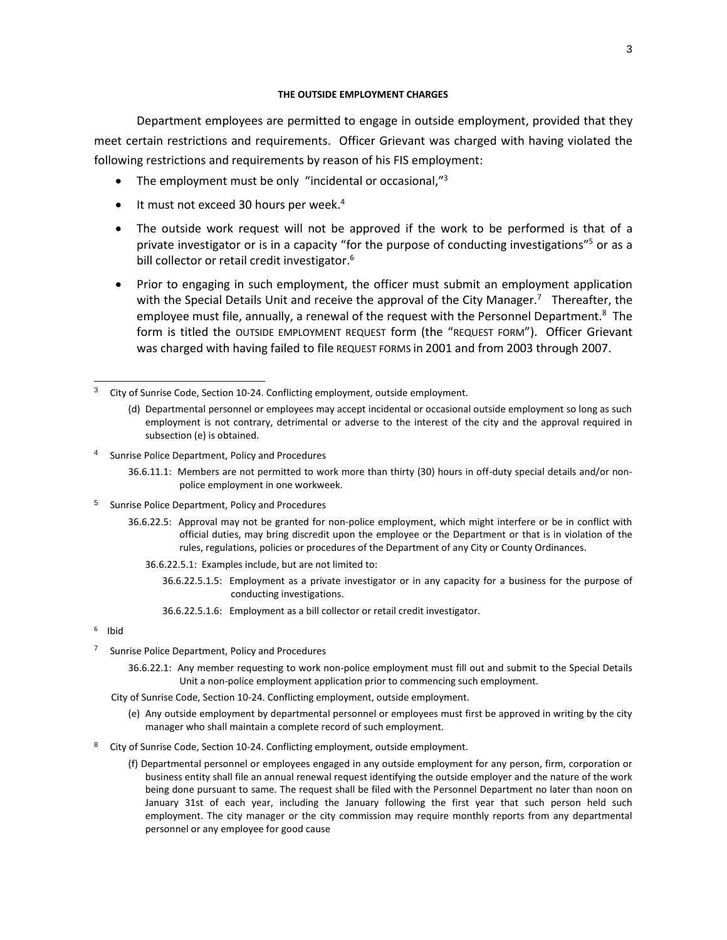#### **THE OUTSIDE EMPLOYMENT CHARGES**

Department employees are permitted to engage in outside employment, provided that they meet certain restrictions and requirements. Officer Grievant was charged with having violated the following restrictions and requirements by reason of his FIS employment:

- The employment must be only "incidental or occasional, $^{3}$
- It must not exceed 30 hours per week.<sup>4</sup>
- The outside work request will not be approved if the work to be performed is that of a private investigator or is in a capacity "for the purpose of conducting investigations"<sup>5</sup> or as a bill collector or retail credit investigator.<sup>6</sup>
- Prior to engaging in such employment, the officer must submit an employment application with the Special Details Unit and receive the approval of the City Manager.<sup>7</sup> Thereafter, the employee must file, annually, a renewal of the request with the Personnel Department.<sup>8</sup> The form is titled the OUTSIDE EMPLOYMENT REQUEST form (the "REQUEST FORM"). Officer Grievant was charged with having failed to file REQUEST FORMS in 2001 and from 2003 through 2007.

- 4 Sunrise Police Department, Policy and Procedures
	- 36.6.11.1: Members are not permitted to work more than thirty (30) hours in off-duty special details and/or nonpolice employment in one workweek.
- 5 Sunrise Police Department, Policy and Procedures
	- 36.6.22.5: Approval may not be granted for non-police employment, which might interfere or be in conflict with official duties, may bring discredit upon the employee or the Department or that is in violation of the rules, regulations, policies or procedures of the Department of any City or County Ordinances.
		- 36.6.22.5.1: Examples include, but are not limited to:
			- 36.6.22.5.1.5: Employment as a private investigator or in any capacity for a business for the purpose of conducting investigations.
			- 36.6.22.5.1.6: Employment as a bill collector or retail credit investigator.
- 6 Ibid
- 7 Sunrise Police Department, Policy and Procedures
	- 36.6.22.1: Any member requesting to work non-police employment must fill out and submit to the Special Details Unit a non-police employment application prior to commencing such employment.
	- City of Sunrise Code, Section 10-24. Conflicting employment, outside employment.
		- (e) Any outside employment by departmental personnel or employees must first be approved in writing by the city manager who shall maintain a complete record of such employment.
- 8 City of Sunrise Code, Section 10-24. Conflicting employment, outside employment.
	- (f) Departmental personnel or employees engaged in any outside employment for any person, firm, corporation or business entity shall file an annual renewal request identifying the outside employer and the nature of the work being done pursuant to same. The request shall be filed with the Personnel Department no later than noon on January 31st of each year, including the January following the first year that such person held such employment. The city manager or the city commission may require monthly reports from any departmental personnel or any employee for good cause

<sup>-&</sup>lt;br>3 City of Sunrise Code, Section 10-24. Conflicting employment, outside employment.

<sup>(</sup>d) Departmental personnel or employees may accept incidental or occasional outside employment so long as such employment is not contrary, detrimental or adverse to the interest of the city and the approval required in subsection (e) is obtained.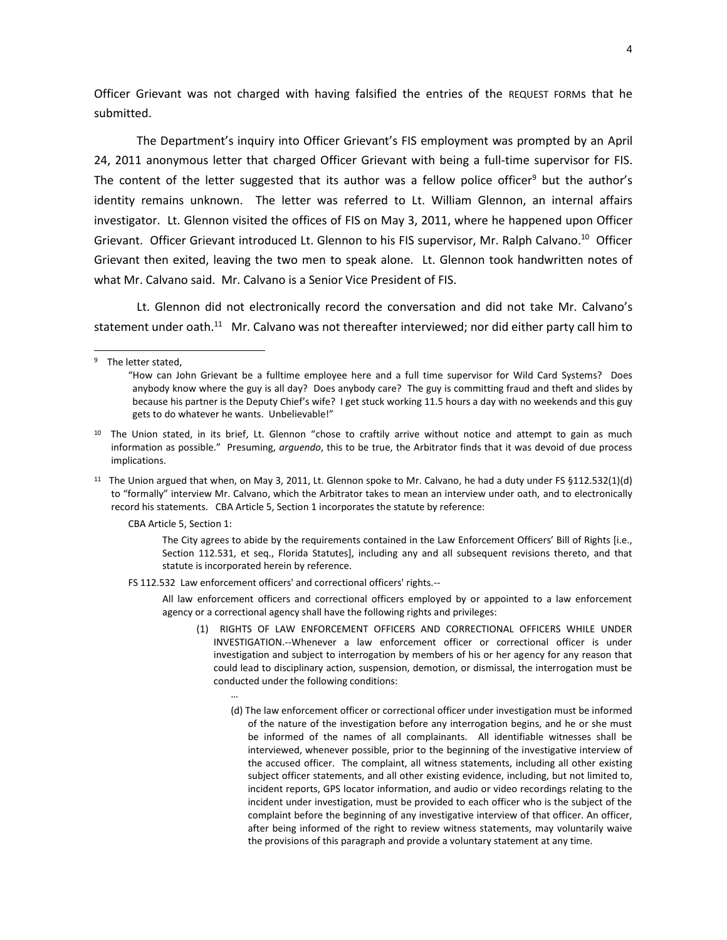Officer Grievant was not charged with having falsified the entries of the REQUEST FORMs that he submitted.

The Department's inquiry into Officer Grievant's FIS employment was prompted by an April 24, 2011 anonymous letter that charged Officer Grievant with being a full-time supervisor for FIS. The content of the letter suggested that its author was a fellow police officer<sup>9</sup> but the author's identity remains unknown. The letter was referred to Lt. William Glennon, an internal affairs investigator. Lt. Glennon visited the offices of FIS on May 3, 2011, where he happened upon Officer Grievant. Officer Grievant introduced Lt. Glennon to his FIS supervisor, Mr. Ralph Calvano.<sup>10</sup> Officer Grievant then exited, leaving the two men to speak alone. Lt. Glennon took handwritten notes of what Mr. Calvano said. Mr. Calvano is a Senior Vice President of FIS.

Lt. Glennon did not electronically record the conversation and did not take Mr. Calvano's statement under oath.<sup>11</sup> Mr. Calvano was not thereafter interviewed; nor did either party call him to

l

CBA Article 5, Section 1:

The City agrees to abide by the requirements contained in the Law Enforcement Officers' Bill of Rights [i.e., Section 112.531, et seq., Florida Statutes], including any and all subsequent revisions thereto, and that statute is incorporated herein by reference.

FS 112.532 Law enforcement officers' and correctional officers' rights.--

…

All law enforcement officers and correctional officers employed by or appointed to a law enforcement agency or a correctional agency shall have the following rights and privileges:

- (1) RIGHTS OF LAW ENFORCEMENT OFFICERS AND CORRECTIONAL OFFICERS WHILE UNDER INVESTIGATION.--Whenever a law enforcement officer or correctional officer is under investigation and subject to interrogation by members of his or her agency for any reason that could lead to disciplinary action, suspension, demotion, or dismissal, the interrogation must be conducted under the following conditions:
	- (d) The law enforcement officer or correctional officer under investigation must be informed of the nature of the investigation before any interrogation begins, and he or she must be informed of the names of all complainants. All identifiable witnesses shall be interviewed, whenever possible, prior to the beginning of the investigative interview of the accused officer. The complaint, all witness statements, including all other existing subject officer statements, and all other existing evidence, including, but not limited to, incident reports, GPS locator information, and audio or video recordings relating to the incident under investigation, must be provided to each officer who is the subject of the complaint before the beginning of any investigative interview of that officer. An officer, after being informed of the right to review witness statements, may voluntarily waive the provisions of this paragraph and provide a voluntary statement at any time.

<sup>9</sup> The letter stated,

<sup>&</sup>quot;How can John Grievant be a fulltime employee here and a full time supervisor for Wild Card Systems? Does anybody know where the guy is all day? Does anybody care? The guy is committing fraud and theft and slides by because his partner is the Deputy Chief's wife? I get stuck working 11.5 hours a day with no weekends and this guy gets to do whatever he wants. Unbelievable!"

<sup>&</sup>lt;sup>10</sup> The Union stated, in its brief, Lt. Glennon "chose to craftily arrive without notice and attempt to gain as much information as possible." Presuming, *arguendo*, this to be true, the Arbitrator finds that it was devoid of due process implications.

<sup>&</sup>lt;sup>11</sup> The Union argued that when, on May 3, 2011, Lt. Glennon spoke to Mr. Calvano, he had a duty under FS  $$112.532(1)(d)$ to "formally" interview Mr. Calvano, which the Arbitrator takes to mean an interview under oath, and to electronically record his statements. CBA Article 5, Section 1 incorporates the statute by reference: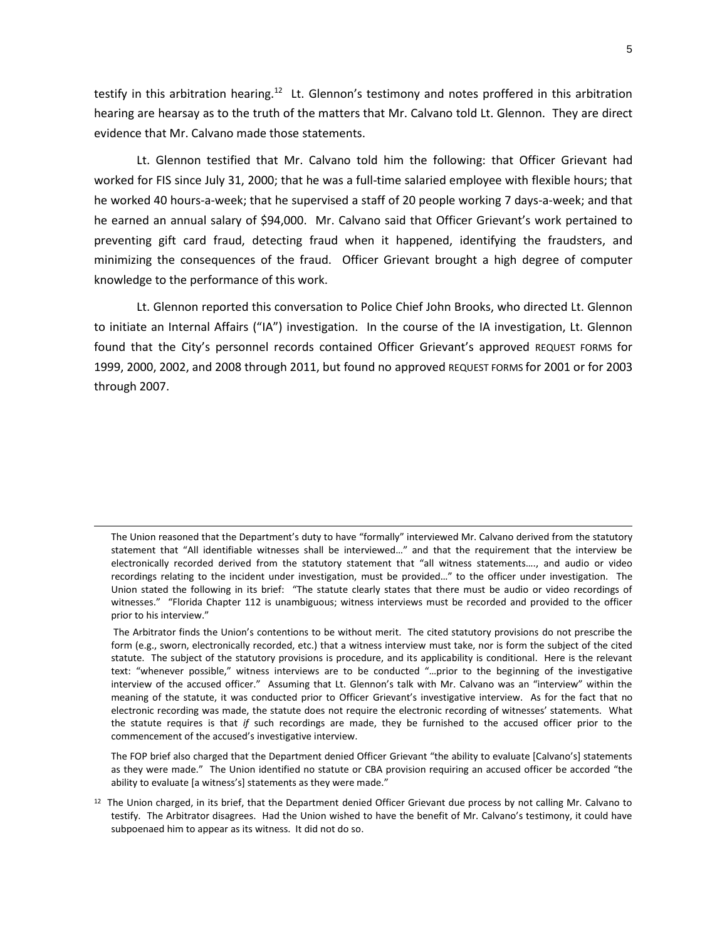testify in this arbitration hearing.<sup>12</sup> Lt. Glennon's testimony and notes proffered in this arbitration hearing are hearsay as to the truth of the matters that Mr. Calvano told Lt. Glennon. They are direct evidence that Mr. Calvano made those statements.

Lt. Glennon testified that Mr. Calvano told him the following: that Officer Grievant had worked for FIS since July 31, 2000; that he was a full-time salaried employee with flexible hours; that he worked 40 hours-a-week; that he supervised a staff of 20 people working 7 days-a-week; and that he earned an annual salary of \$94,000. Mr. Calvano said that Officer Grievant's work pertained to preventing gift card fraud, detecting fraud when it happened, identifying the fraudsters, and minimizing the consequences of the fraud. Officer Grievant brought a high degree of computer knowledge to the performance of this work.

Lt. Glennon reported this conversation to Police Chief John Brooks, who directed Lt. Glennon to initiate an Internal Affairs ("IA") investigation. In the course of the IA investigation, Lt. Glennon found that the City's personnel records contained Officer Grievant's approved REQUEST FORMS for 1999, 2000, 2002, and 2008 through 2011, but found no approved REQUEST FORMS for 2001 or for 2003 through 2007.

 $\overline{a}$ 

The FOP brief also charged that the Department denied Officer Grievant "the ability to evaluate [Calvano's] statements as they were made." The Union identified no statute or CBA provision requiring an accused officer be accorded "the ability to evaluate [a witness's] statements as they were made."

The Union reasoned that the Department's duty to have "formally" interviewed Mr. Calvano derived from the statutory statement that "All identifiable witnesses shall be interviewed…" and that the requirement that the interview be electronically recorded derived from the statutory statement that "all witness statements…., and audio or video recordings relating to the incident under investigation, must be provided…" to the officer under investigation. The Union stated the following in its brief: "The statute clearly states that there must be audio or video recordings of witnesses." "Florida Chapter 112 is unambiguous; witness interviews must be recorded and provided to the officer prior to his interview."

The Arbitrator finds the Union's contentions to be without merit. The cited statutory provisions do not prescribe the form (e.g., sworn, electronically recorded, etc.) that a witness interview must take, nor is form the subject of the cited statute. The subject of the statutory provisions is procedure, and its applicability is conditional. Here is the relevant text: "whenever possible," witness interviews are to be conducted "…prior to the beginning of the investigative interview of the accused officer." Assuming that Lt. Glennon's talk with Mr. Calvano was an "interview" within the meaning of the statute, it was conducted prior to Officer Grievant's investigative interview. As for the fact that no electronic recording was made, the statute does not require the electronic recording of witnesses' statements. What the statute requires is that *if* such recordings are made, they be furnished to the accused officer prior to the commencement of the accused's investigative interview.

 $12$  The Union charged, in its brief, that the Department denied Officer Grievant due process by not calling Mr. Calvano to testify. The Arbitrator disagrees. Had the Union wished to have the benefit of Mr. Calvano's testimony, it could have subpoenaed him to appear as its witness. It did not do so.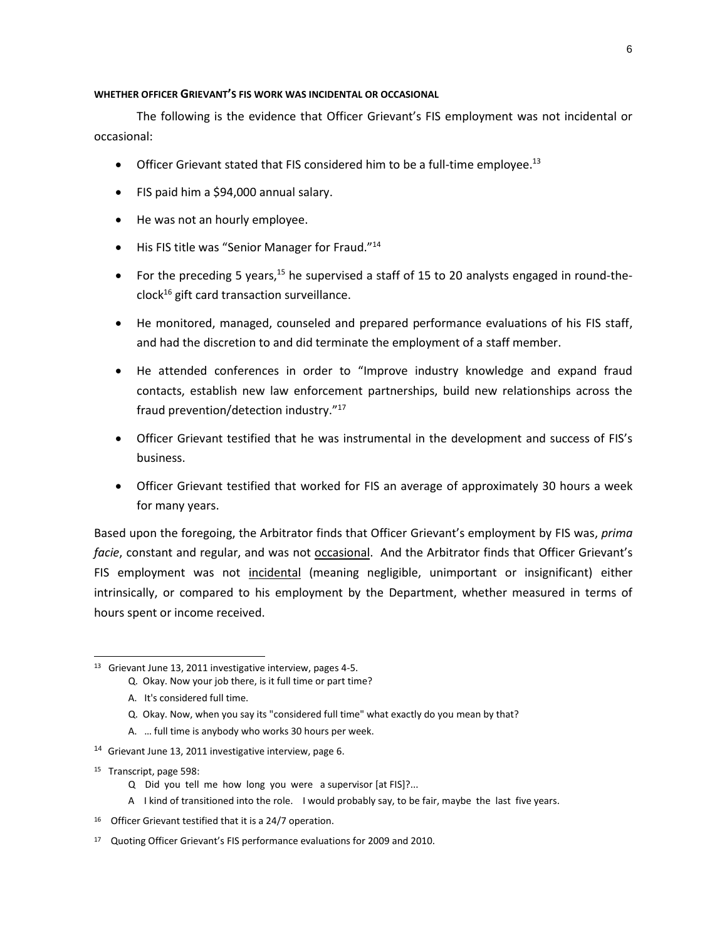#### **WHETHER OFFICER GRIEVANT'S FIS WORK WAS INCIDENTAL OR OCCASIONAL**

The following is the evidence that Officer Grievant's FIS employment was not incidental or occasional:

- Officer Grievant stated that FIS considered him to be a full-time employee.<sup>13</sup>
- FIS paid him a \$94,000 annual salary.
- He was not an hourly employee.
- His FIS title was "Senior Manager for Fraud."<sup>14</sup>
- For the preceding 5 years,<sup>15</sup> he supervised a staff of 15 to 20 analysts engaged in round-the $clock^{16}$  gift card transaction surveillance.
- He monitored, managed, counseled and prepared performance evaluations of his FIS staff, and had the discretion to and did terminate the employment of a staff member.
- He attended conferences in order to "Improve industry knowledge and expand fraud contacts, establish new law enforcement partnerships, build new relationships across the fraud prevention/detection industry."<sup>17</sup>
- Officer Grievant testified that he was instrumental in the development and success of FIS's business.
- Officer Grievant testified that worked for FIS an average of approximately 30 hours a week for many years.

Based upon the foregoing, the Arbitrator finds that Officer Grievant's employment by FIS was, *prima facie*, constant and regular, and was not **occasional**. And the Arbitrator finds that Officer Grievant's FIS employment was not *incidental* (meaning negligible, unimportant or insignificant) either intrinsically, or compared to his employment by the Department, whether measured in terms of hours spent or income received.

- Q. Okay. Now, when you say its "considered full time" what exactly do you mean by that?
- A. … full time is anybody who works 30 hours per week.
- <sup>14</sup> Grievant June 13, 2011 investigative interview, page 6.
- 15 Transcript, page 598:

 $\overline{a}$ 

- Q Did you tell me how long you were a supervisor [at FIS]?...
- A I kind of transitioned into the role. I would probably say, to be fair, maybe the last five years.
- <sup>16</sup> Officer Grievant testified that it is a 24/7 operation.

<sup>&</sup>lt;sup>13</sup> Grievant June 13, 2011 investigative interview, pages 4-5.

Q. Okay. Now your job there, is it full time or part time?

A. It's considered full time.

<sup>&</sup>lt;sup>17</sup> Quoting Officer Grievant's FIS performance evaluations for 2009 and 2010.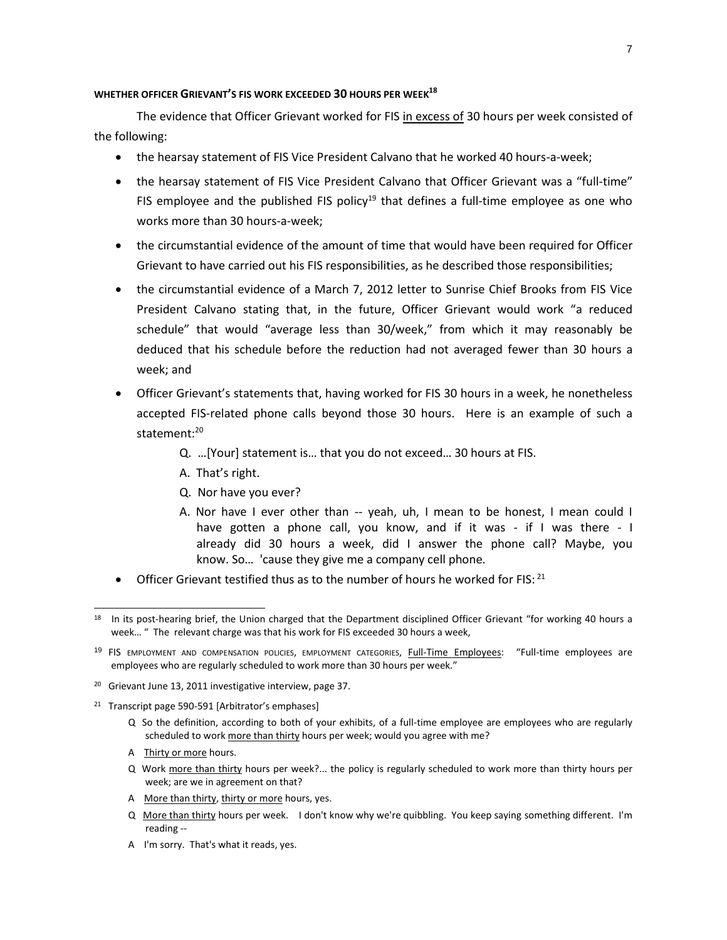### **WHETHER OFFICER GRIEVANT'S FIS WORK EXCEEDED 30 HOURS PER WEEK<sup>18</sup>**

The evidence that Officer Grievant worked for FIS in excess of 30 hours per week consisted of the following:

- the hearsay statement of FIS Vice President Calvano that he worked 40 hours-a-week;
- the hearsay statement of FIS Vice President Calvano that Officer Grievant was a "full-time" FIS employee and the published FIS policy<sup>19</sup> that defines a full-time employee as one who works more than 30 hours-a-week;
- the circumstantial evidence of the amount of time that would have been required for Officer Grievant to have carried out his FIS responsibilities, as he described those responsibilities;
- the circumstantial evidence of a March 7, 2012 letter to Sunrise Chief Brooks from FIS Vice President Calvano stating that, in the future, Officer Grievant would work "a reduced schedule" that would "average less than 30/week," from which it may reasonably be deduced that his schedule before the reduction had not averaged fewer than 30 hours a week; and
- Officer Grievant's statements that, having worked for FIS 30 hours in a week, he nonetheless accepted FIS-related phone calls beyond those 30 hours. Here is an example of such a statement:<sup>20</sup>
	- Q. …[Your] statement is… that you do not exceed… 30 hours at FIS.
	- A. That's right.
	- Q. Nor have you ever?
	- A. Nor have I ever other than -- yeah, uh, I mean to be honest, I mean could I have gotten a phone call, you know, and if it was - if I was there - I already did 30 hours a week, did I answer the phone call? Maybe, you know. So… 'cause they give me a company cell phone.
- Officer Grievant testified thus as to the number of hours he worked for FIS:  $^{21}$

- <sup>20</sup> Grievant June 13, 2011 investigative interview, page 37.
- <sup>21</sup> Transcript page 590-591 [Arbitrator's emphases]
	- Q So the definition, according to both of your exhibits, of a full-time employee are employees who are regularly scheduled to work more than thirty hours per week; would you agree with me?
	- A Thirty or more hours.

l

- Q Work more than thirty hours per week?... the policy is regularly scheduled to work more than thirty hours per week; are we in agreement on that?
- A More than thirty, thirty or more hours, yes.
- Q More than thirty hours per week. I don't know why we're quibbling. You keep saying something different. I'm reading --
- A I'm sorry. That's what it reads, yes.

<sup>&</sup>lt;sup>18</sup> In its post-hearing brief, the Union charged that the Department disciplined Officer Grievant "for working 40 hours a week… " The relevant charge was that his work for FIS exceeded 30 hours a week,

<sup>&</sup>lt;sup>19</sup> FIS EMPLOYMENT AND COMPENSATION POLICIES, EMPLOYMENT CATEGORIES, Full-Time Employees: "Full-time employees are employees who are regularly scheduled to work more than 30 hours per week."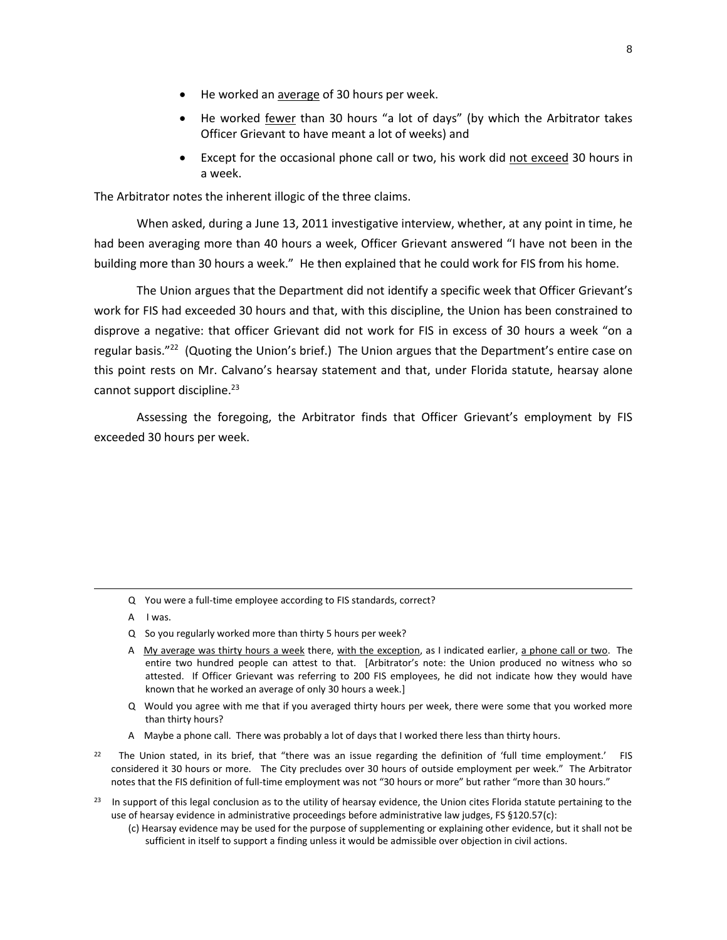- He worked an average of 30 hours per week.
- He worked fewer than 30 hours "a lot of days" (by which the Arbitrator takes Officer Grievant to have meant a lot of weeks) and
- Except for the occasional phone call or two, his work did not exceed 30 hours in a week.

The Arbitrator notes the inherent illogic of the three claims.

When asked, during a June 13, 2011 investigative interview, whether, at any point in time, he had been averaging more than 40 hours a week, Officer Grievant answered "I have not been in the building more than 30 hours a week." He then explained that he could work for FIS from his home.

The Union argues that the Department did not identify a specific week that Officer Grievant's work for FIS had exceeded 30 hours and that, with this discipline, the Union has been constrained to disprove a negative: that officer Grievant did not work for FIS in excess of 30 hours a week "on a regular basis."<sup>22</sup> (Quoting the Union's brief.) The Union argues that the Department's entire case on this point rests on Mr. Calvano's hearsay statement and that, under Florida statute, hearsay alone cannot support discipline.<sup>23</sup>

Assessing the foregoing, the Arbitrator finds that Officer Grievant's employment by FIS exceeded 30 hours per week.

- Q You were a full-time employee according to FIS standards, correct?
- A I was.

 $\overline{a}$ 

- Q So you regularly worked more than thirty 5 hours per week?
- A My average was thirty hours a week there, with the exception, as I indicated earlier, a phone call or two. The entire two hundred people can attest to that. [Arbitrator's note: the Union produced no witness who so attested. If Officer Grievant was referring to 200 FIS employees, he did not indicate how they would have known that he worked an average of only 30 hours a week.]
- Q Would you agree with me that if you averaged thirty hours per week, there were some that you worked more than thirty hours?
- A Maybe a phone call. There was probably a lot of days that I worked there less than thirty hours.
- 22 The Union stated, in its brief, that "there was an issue regarding the definition of 'full time employment.' FIS considered it 30 hours or more. The City precludes over 30 hours of outside employment per week." The Arbitrator notes that the FIS definition of full-time employment was not "30 hours or more" but rather "more than 30 hours."
- $23$  In support of this legal conclusion as to the utility of hearsay evidence, the Union cites Florida statute pertaining to the use of hearsay evidence in administrative proceedings before administrative law judges, FS §120.57(c):
	- (c) Hearsay evidence may be used for the purpose of supplementing or explaining other evidence, but it shall not be sufficient in itself to support a finding unless it would be admissible over objection in civil actions.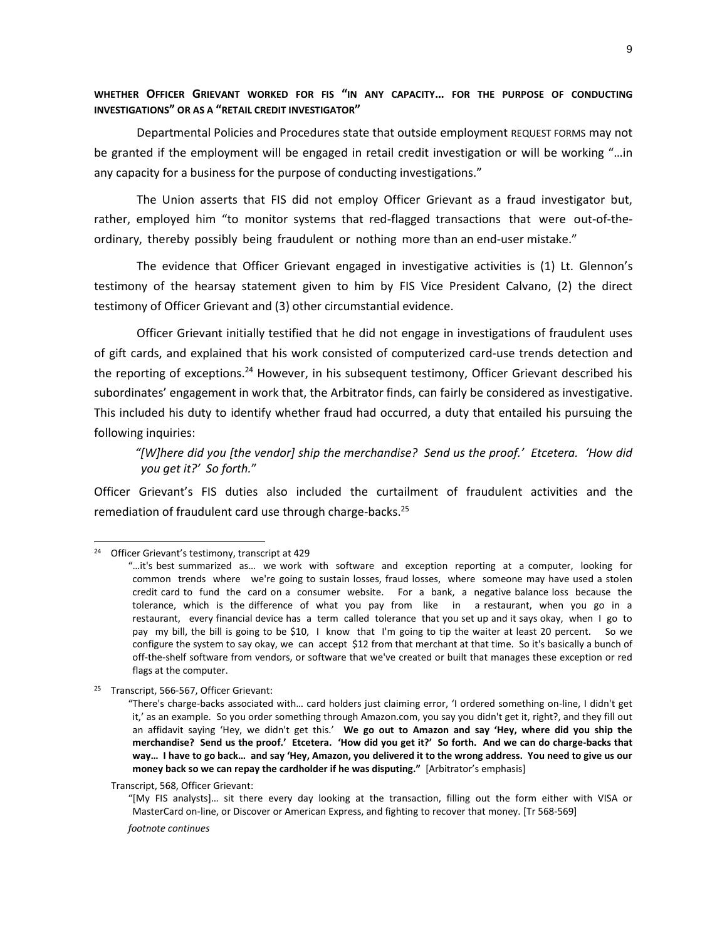# **WHETHER OFFICER GRIEVANT WORKED FOR FIS "IN ANY CAPACITY… FOR THE PURPOSE OF CONDUCTING INVESTIGATIONS" OR AS A "RETAIL CREDIT INVESTIGATOR"**

Departmental Policies and Procedures state that outside employment REQUEST FORMS may not be granted if the employment will be engaged in retail credit investigation or will be working "…in any capacity for a business for the purpose of conducting investigations."

The Union asserts that FIS did not employ Officer Grievant as a fraud investigator but, rather, employed him "to monitor systems that red-flagged transactions that were out-of-theordinary, thereby possibly being fraudulent or nothing more than an end-user mistake."

The evidence that Officer Grievant engaged in investigative activities is (1) Lt. Glennon's testimony of the hearsay statement given to him by FIS Vice President Calvano, (2) the direct testimony of Officer Grievant and (3) other circumstantial evidence.

Officer Grievant initially testified that he did not engage in investigations of fraudulent uses of gift cards, and explained that his work consisted of computerized card-use trends detection and the reporting of exceptions.<sup>24</sup> However, in his subsequent testimony, Officer Grievant described his subordinates' engagement in work that, the Arbitrator finds, can fairly be considered as investigative. This included his duty to identify whether fraud had occurred, a duty that entailed his pursuing the following inquiries:

*"[W]here did you [the vendor] ship the merchandise? Send us the proof.' Etcetera. 'How did you get it?' So forth.*"

Officer Grievant's FIS duties also included the curtailment of fraudulent activities and the remediation of fraudulent card use through charge-backs.<sup>25</sup>

 $\overline{a}$ 

Transcript, 568, Officer Grievant:

"[My FIS analysts]… sit there every day looking at the transaction, filling out the form either with VISA or MasterCard on-line, or Discover or American Express, and fighting to recover that money. [Tr 568-569]

*footnote continues*

<sup>24</sup> Officer Grievant's testimony, transcript at 429

<sup>&</sup>quot;…it's best summarized as… we work with software and exception reporting at a computer, looking for common trends where we're going to sustain losses, fraud losses, where someone may have used a stolen credit card to fund the card on a consumer website. For a bank, a negative balance loss because the tolerance, which is the difference of what you pay from like in a restaurant, when you go in a restaurant, every financial device has a term called tolerance that you set up and it says okay, when I go to pay my bill, the bill is going to be \$10, I know that I'm going to tip the waiter at least 20 percent. So we configure the system to say okay, we can accept \$12 from that merchant at that time. So it's basically a bunch of off-the-shelf software from vendors, or software that we've created or built that manages these exception or red flags at the computer.

<sup>&</sup>lt;sup>25</sup> Transcript, 566-567, Officer Grievant:

<sup>&</sup>quot;There's charge-backs associated with… card holders just claiming error, 'I ordered something on-line, I didn't get it,' as an example. So you order something through Amazon.com, you say you didn't get it, right?, and they fill out an affidavit saying 'Hey, we didn't get this.' **We go out to Amazon and say 'Hey, where did you ship the merchandise? Send us the proof.' Etcetera. 'How did you get it?' So forth. And we can do charge-backs that way… I have to go back… and say 'Hey, Amazon, you delivered it to the wrong address. You need to give us our money back so we can repay the cardholder if he was disputing."** [Arbitrator's emphasis]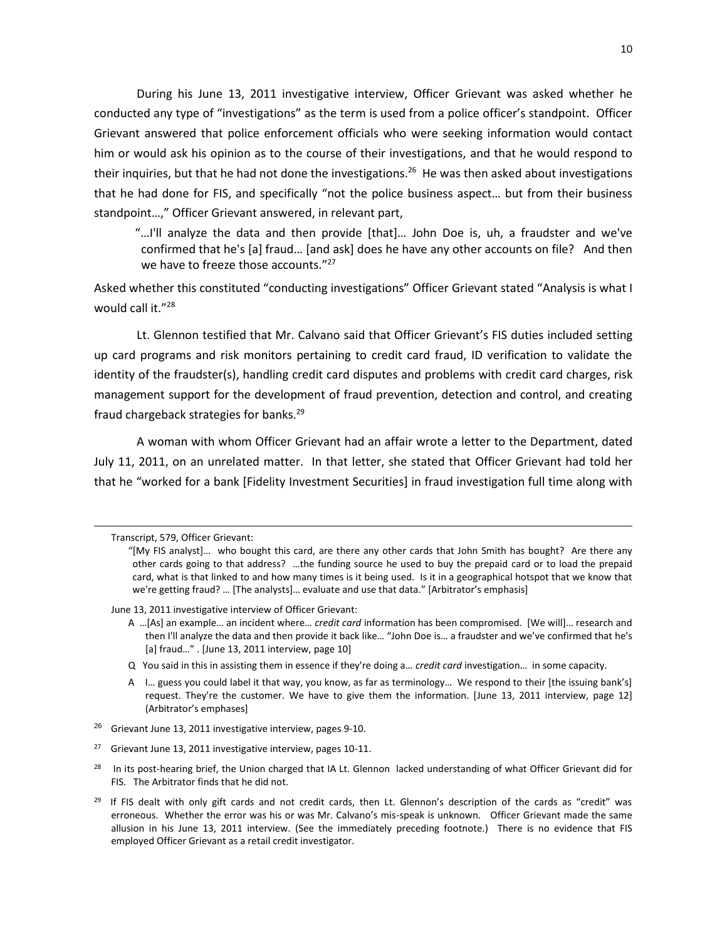During his June 13, 2011 investigative interview, Officer Grievant was asked whether he conducted any type of "investigations" as the term is used from a police officer's standpoint. Officer Grievant answered that police enforcement officials who were seeking information would contact him or would ask his opinion as to the course of their investigations, and that he would respond to their inquiries, but that he had not done the investigations.<sup>26</sup> He was then asked about investigations that he had done for FIS, and specifically "not the police business aspect… but from their business standpoint…," Officer Grievant answered, in relevant part,

"…I'll analyze the data and then provide [that]… John Doe is, uh, a fraudster and we've confirmed that he's [a] fraud… [and ask] does he have any other accounts on file? And then we have to freeze those accounts."<sup>27</sup>

Asked whether this constituted "conducting investigations" Officer Grievant stated "Analysis is what I would call it."<sup>28</sup>

Lt. Glennon testified that Mr. Calvano said that Officer Grievant's FIS duties included setting up card programs and risk monitors pertaining to credit card fraud, ID verification to validate the identity of the fraudster(s), handling credit card disputes and problems with credit card charges, risk management support for the development of fraud prevention, detection and control, and creating fraud chargeback strategies for banks.<sup>29</sup>

A woman with whom Officer Grievant had an affair wrote a letter to the Department, dated July 11, 2011, on an unrelated matter. In that letter, she stated that Officer Grievant had told her that he "worked for a bank [Fidelity Investment Securities] in fraud investigation full time along with

 $\overline{a}$ 

June 13, 2011 investigative interview of Officer Grievant:

- A …[As] an example… an incident where… *credit card* information has been compromised. [We will]… research and then I'll analyze the data and then provide it back like… "John Doe is… a fraudster and we've confirmed that he's [a] fraud…" . [June 13, 2011 interview, page 10]
- Q You said in this in assisting them in essence if they're doing a… *credit card* investigation… in some capacity.
- A I… guess you could label it that way, you know, as far as terminology… We respond to their [the issuing bank's] request. They're the customer. We have to give them the information. [June 13, 2011 interview, page 12] (Arbitrator's emphases]
- $26$  Grievant June 13, 2011 investigative interview, pages 9-10.

Transcript, 579, Officer Grievant:

<sup>&</sup>quot;[My FIS analyst]… who bought this card, are there any other cards that John Smith has bought? Are there any other cards going to that address? …the funding source he used to buy the prepaid card or to load the prepaid card, what is that linked to and how many times is it being used. Is it in a geographical hotspot that we know that we're getting fraud? … [The analysts]… evaluate and use that data." [Arbitrator's emphasis]

<sup>&</sup>lt;sup>27</sup> Grievant June 13, 2011 investigative interview, pages 10-11.

<sup>28</sup> In its post-hearing brief, the Union charged that IA Lt. Glennon lacked understanding of what Officer Grievant did for FIS. The Arbitrator finds that he did not.

 $29$  If FIS dealt with only gift cards and not credit cards, then Lt. Glennon's description of the cards as "credit" was erroneous. Whether the error was his or was Mr. Calvano's mis-speak is unknown. Officer Grievant made the same allusion in his June 13, 2011 interview. (See the immediately preceding footnote.) There is no evidence that FIS employed Officer Grievant as a retail credit investigator.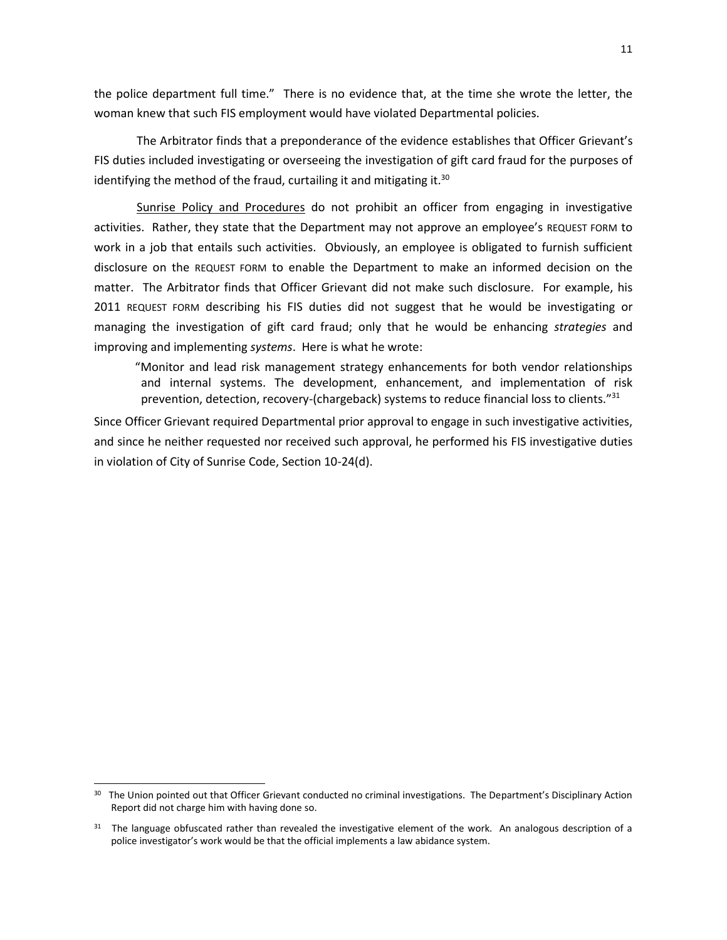the police department full time." There is no evidence that, at the time she wrote the letter, the woman knew that such FIS employment would have violated Departmental policies.

The Arbitrator finds that a preponderance of the evidence establishes that Officer Grievant's FIS duties included investigating or overseeing the investigation of gift card fraud for the purposes of identifying the method of the fraud, curtailing it and mitigating it. $30$ 

Sunrise Policy and Procedures do not prohibit an officer from engaging in investigative activities. Rather, they state that the Department may not approve an employee's REQUEST FORM to work in a job that entails such activities. Obviously, an employee is obligated to furnish sufficient disclosure on the REQUEST FORM to enable the Department to make an informed decision on the matter. The Arbitrator finds that Officer Grievant did not make such disclosure. For example, his 2011 REQUEST FORM describing his FIS duties did not suggest that he would be investigating or managing the investigation of gift card fraud; only that he would be enhancing *strategies* and improving and implementing *systems*. Here is what he wrote:

"Monitor and lead risk management strategy enhancements for both vendor relationships and internal systems. The development, enhancement, and implementation of risk prevention, detection, recovery-(chargeback) systems to reduce financial loss to clients."<sup>31</sup>

Since Officer Grievant required Departmental prior approval to engage in such investigative activities, and since he neither requested nor received such approval, he performed his FIS investigative duties in violation of City of Sunrise Code, Section 10-24(d).

l

<sup>&</sup>lt;sup>30</sup> The Union pointed out that Officer Grievant conducted no criminal investigations. The Department's Disciplinary Action Report did not charge him with having done so.

<sup>&</sup>lt;sup>31</sup> The language obfuscated rather than revealed the investigative element of the work. An analogous description of a police investigator's work would be that the official implements a law abidance system.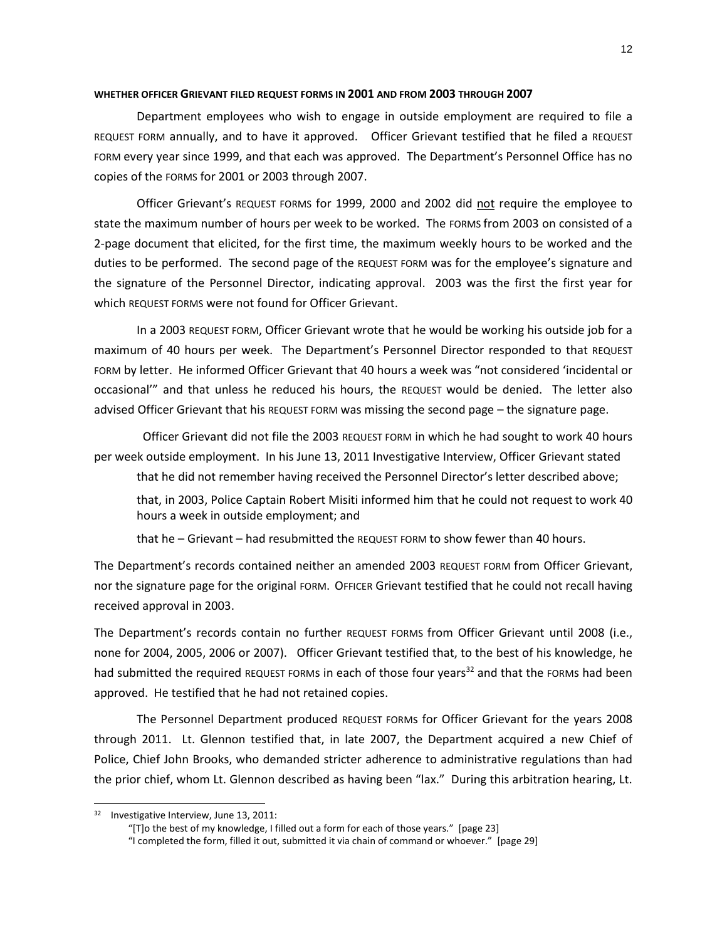#### **WHETHER OFFICER GRIEVANT FILED REQUEST FORMS IN 2001 AND FROM 2003 THROUGH 2007**

Department employees who wish to engage in outside employment are required to file a REQUEST FORM annually, and to have it approved. Officer Grievant testified that he filed a REQUEST FORM every year since 1999, and that each was approved. The Department's Personnel Office has no copies of the FORMS for 2001 or 2003 through 2007.

Officer Grievant's REQUEST FORMS for 1999, 2000 and 2002 did not require the employee to state the maximum number of hours per week to be worked. The FORMS from 2003 on consisted of a 2-page document that elicited, for the first time, the maximum weekly hours to be worked and the duties to be performed. The second page of the REQUEST FORM was for the employee's signature and the signature of the Personnel Director, indicating approval. 2003 was the first the first year for which REQUEST FORMS were not found for Officer Grievant.

In a 2003 REQUEST FORM, Officer Grievant wrote that he would be working his outside job for a maximum of 40 hours per week. The Department's Personnel Director responded to that REQUEST FORM by letter. He informed Officer Grievant that 40 hours a week was "not considered 'incidental or occasional'" and that unless he reduced his hours, the REQUEST would be denied. The letter also advised Officer Grievant that his REQUEST FORM was missing the second page – the signature page.

 Officer Grievant did not file the 2003 REQUEST FORM in which he had sought to work 40 hours per week outside employment. In his June 13, 2011 Investigative Interview, Officer Grievant stated

that he did not remember having received the Personnel Director's letter described above;

that, in 2003, Police Captain Robert Misiti informed him that he could not request to work 40 hours a week in outside employment; and

that he – Grievant – had resubmitted the REQUEST FORM to show fewer than 40 hours.

The Department's records contained neither an amended 2003 REQUEST FORM from Officer Grievant, nor the signature page for the original FORM. OFFICER Grievant testified that he could not recall having received approval in 2003.

The Department's records contain no further REQUEST FORMS from Officer Grievant until 2008 (i.e., none for 2004, 2005, 2006 or 2007). Officer Grievant testified that, to the best of his knowledge, he had submitted the required REQUEST FORMs in each of those four years<sup>32</sup> and that the FORMs had been approved. He testified that he had not retained copies.

The Personnel Department produced REQUEST FORMs for Officer Grievant for the years 2008 through 2011. Lt. Glennon testified that, in late 2007, the Department acquired a new Chief of Police, Chief John Brooks, who demanded stricter adherence to administrative regulations than had the prior chief, whom Lt. Glennon described as having been "lax." During this arbitration hearing, Lt.

l

<sup>32</sup> Investigative Interview, June 13, 2011:

<sup>&</sup>quot;[T]o the best of my knowledge, I filled out a form for each of those years." [page 23]

<sup>&</sup>quot;I completed the form, filled it out, submitted it via chain of command or whoever." [page 29]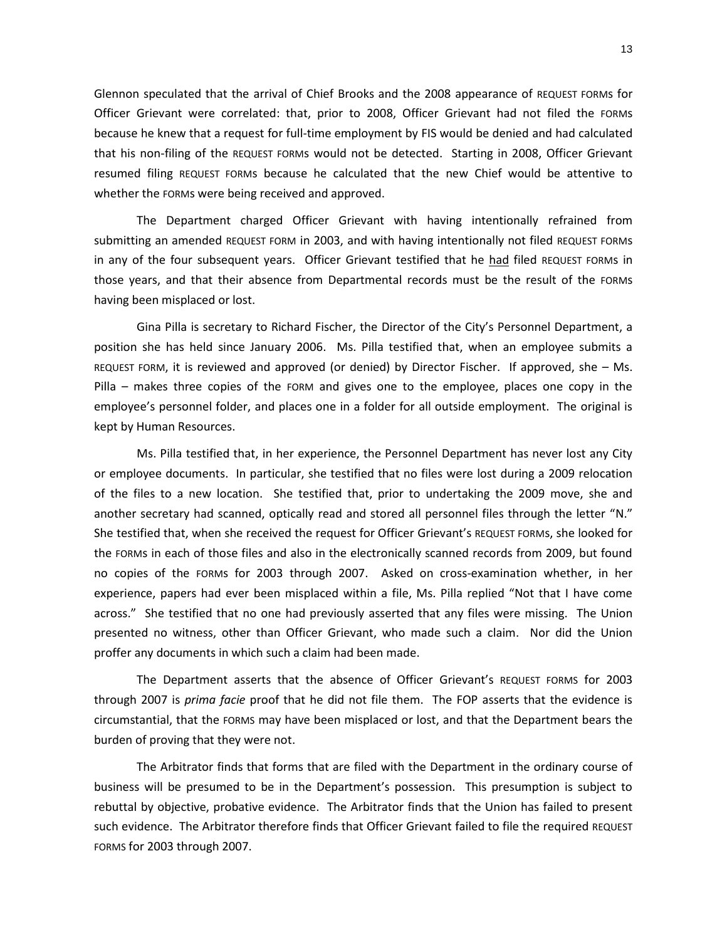Glennon speculated that the arrival of Chief Brooks and the 2008 appearance of REQUEST FORMs for Officer Grievant were correlated: that, prior to 2008, Officer Grievant had not filed the FORMs because he knew that a request for full-time employment by FIS would be denied and had calculated that his non-filing of the REQUEST FORMs would not be detected. Starting in 2008, Officer Grievant resumed filing REQUEST FORMs because he calculated that the new Chief would be attentive to whether the FORMs were being received and approved.

The Department charged Officer Grievant with having intentionally refrained from submitting an amended REQUEST FORM in 2003, and with having intentionally not filed REQUEST FORMs in any of the four subsequent years. Officer Grievant testified that he had filed REQUEST FORMs in those years, and that their absence from Departmental records must be the result of the FORMs having been misplaced or lost.

Gina Pilla is secretary to Richard Fischer, the Director of the City's Personnel Department, a position she has held since January 2006. Ms. Pilla testified that, when an employee submits a REQUEST FORM, it is reviewed and approved (or denied) by Director Fischer. If approved, she – Ms. Pilla – makes three copies of the FORM and gives one to the employee, places one copy in the employee's personnel folder, and places one in a folder for all outside employment. The original is kept by Human Resources.

Ms. Pilla testified that, in her experience, the Personnel Department has never lost any City or employee documents. In particular, she testified that no files were lost during a 2009 relocation of the files to a new location. She testified that, prior to undertaking the 2009 move, she and another secretary had scanned, optically read and stored all personnel files through the letter "N." She testified that, when she received the request for Officer Grievant's REQUEST FORMs, she looked for the FORMs in each of those files and also in the electronically scanned records from 2009, but found no copies of the FORMs for 2003 through 2007. Asked on cross-examination whether, in her experience, papers had ever been misplaced within a file, Ms. Pilla replied "Not that I have come across." She testified that no one had previously asserted that any files were missing. The Union presented no witness, other than Officer Grievant, who made such a claim. Nor did the Union proffer any documents in which such a claim had been made.

The Department asserts that the absence of Officer Grievant's REQUEST FORMS for 2003 through 2007 is *prima facie* proof that he did not file them. The FOP asserts that the evidence is circumstantial, that the FORMS may have been misplaced or lost, and that the Department bears the burden of proving that they were not.

The Arbitrator finds that forms that are filed with the Department in the ordinary course of business will be presumed to be in the Department's possession. This presumption is subject to rebuttal by objective, probative evidence. The Arbitrator finds that the Union has failed to present such evidence. The Arbitrator therefore finds that Officer Grievant failed to file the required REQUEST FORMS for 2003 through 2007.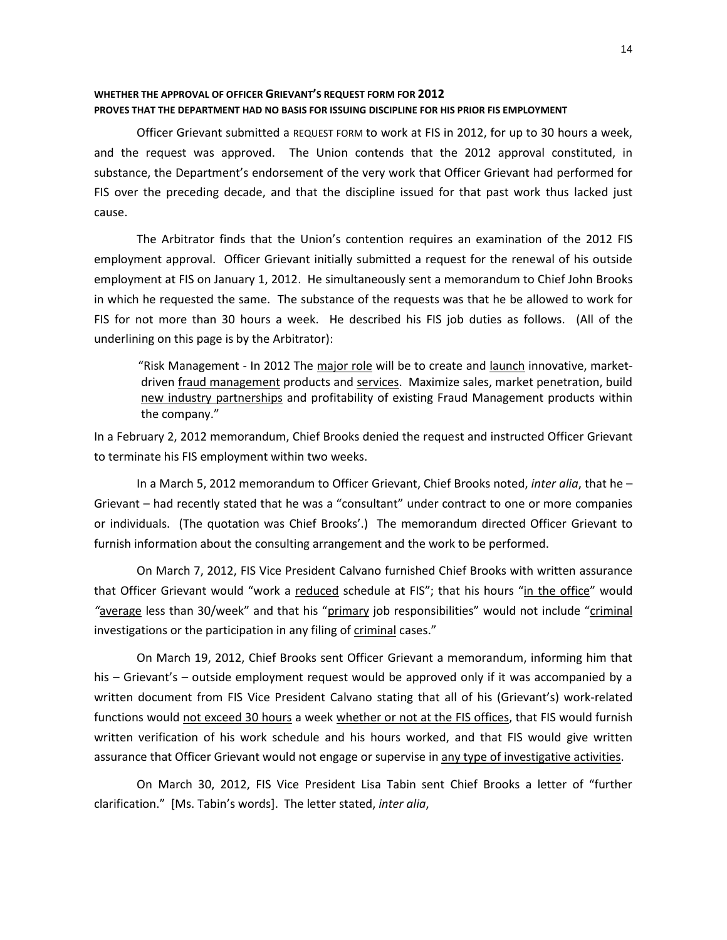# **WHETHER THE APPROVAL OF OFFICER GRIEVANT'S REQUEST FORM FOR 2012 PROVES THAT THE DEPARTMENT HAD NO BASIS FOR ISSUING DISCIPLINE FOR HIS PRIOR FIS EMPLOYMENT**

Officer Grievant submitted a REQUEST FORM to work at FIS in 2012, for up to 30 hours a week, and the request was approved. The Union contends that the 2012 approval constituted, in substance, the Department's endorsement of the very work that Officer Grievant had performed for FIS over the preceding decade, and that the discipline issued for that past work thus lacked just cause.

The Arbitrator finds that the Union's contention requires an examination of the 2012 FIS employment approval. Officer Grievant initially submitted a request for the renewal of his outside employment at FIS on January 1, 2012. He simultaneously sent a memorandum to Chief John Brooks in which he requested the same. The substance of the requests was that he be allowed to work for FIS for not more than 30 hours a week. He described his FIS job duties as follows. (All of the underlining on this page is by the Arbitrator):

"Risk Management - In 2012 The major role will be to create and launch innovative, marketdriven fraud management products and services. Maximize sales, market penetration, build new industry partnerships and profitability of existing Fraud Management products within the company."

In a February 2, 2012 memorandum, Chief Brooks denied the request and instructed Officer Grievant to terminate his FIS employment within two weeks.

In a March 5, 2012 memorandum to Officer Grievant, Chief Brooks noted, *inter alia*, that he – Grievant – had recently stated that he was a "consultant" under contract to one or more companies or individuals. (The quotation was Chief Brooks'.) The memorandum directed Officer Grievant to furnish information about the consulting arrangement and the work to be performed.

On March 7, 2012, FIS Vice President Calvano furnished Chief Brooks with written assurance that Officer Grievant would "work a reduced schedule at FIS"; that his hours "in the office" would *"*average less than 30/week" and that his "primary job responsibilities" would not include "criminal investigations or the participation in any filing of criminal cases."

On March 19, 2012, Chief Brooks sent Officer Grievant a memorandum, informing him that his – Grievant's – outside employment request would be approved only if it was accompanied by a written document from FIS Vice President Calvano stating that all of his (Grievant's) work-related functions would not exceed 30 hours a week whether or not at the FIS offices, that FIS would furnish written verification of his work schedule and his hours worked, and that FIS would give written assurance that Officer Grievant would not engage or supervise in any type of investigative activities.

On March 30, 2012, FIS Vice President Lisa Tabin sent Chief Brooks a letter of "further clarification." [Ms. Tabin's words]. The letter stated, *inter alia*,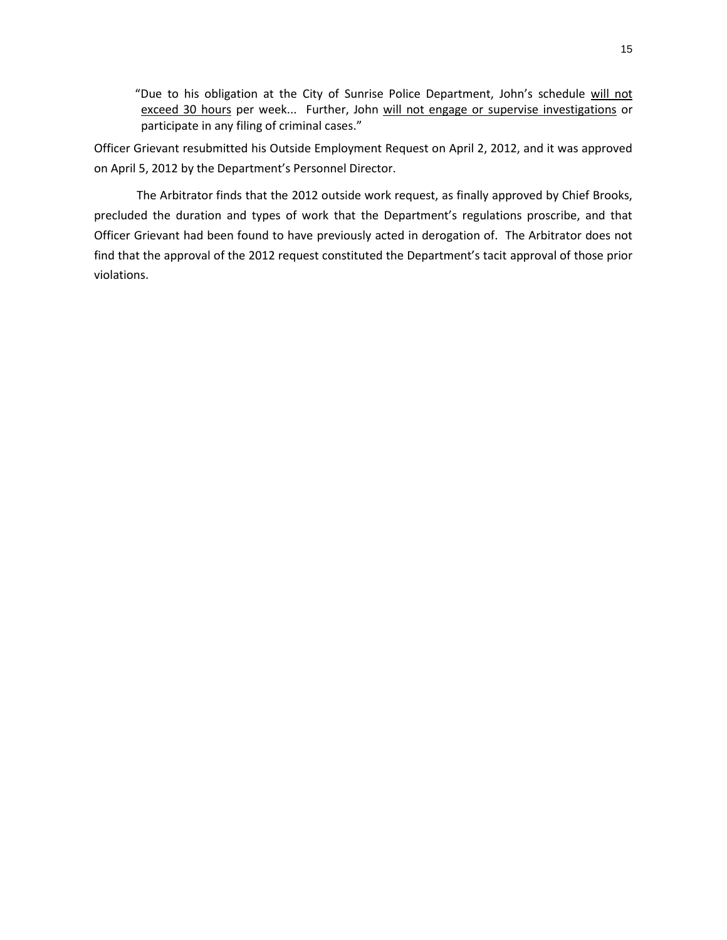"Due to his obligation at the City of Sunrise Police Department, John's schedule will not exceed 30 hours per week... Further, John will not engage or supervise investigations or participate in any filing of criminal cases."

Officer Grievant resubmitted his Outside Employment Request on April 2, 2012, and it was approved on April 5, 2012 by the Department's Personnel Director.

The Arbitrator finds that the 2012 outside work request, as finally approved by Chief Brooks, precluded the duration and types of work that the Department's regulations proscribe, and that Officer Grievant had been found to have previously acted in derogation of. The Arbitrator does not find that the approval of the 2012 request constituted the Department's tacit approval of those prior violations.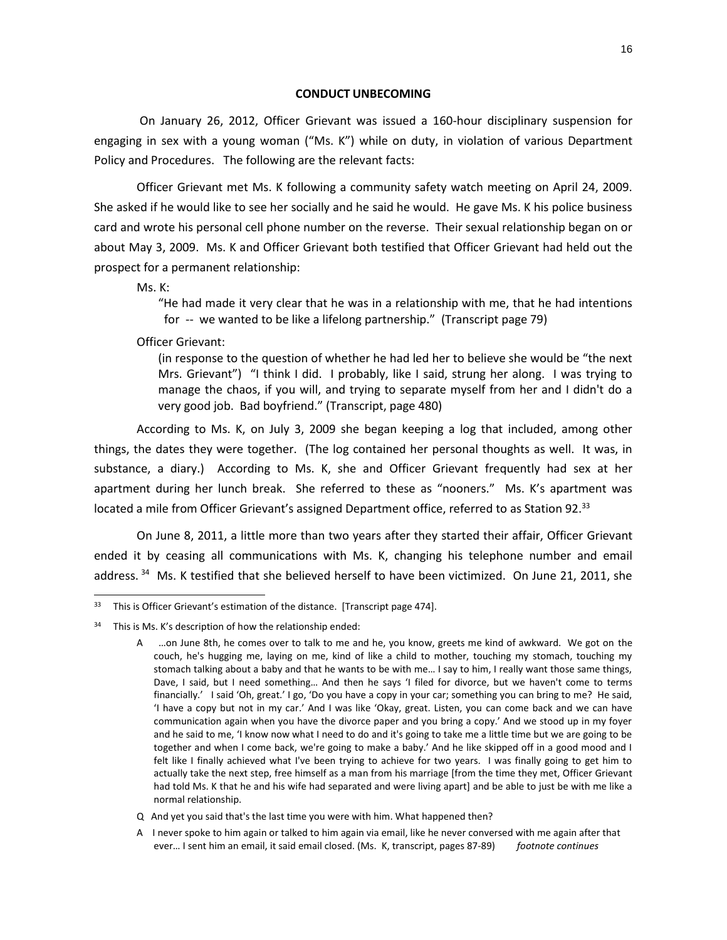#### **CONDUCT UNBECOMING**

On January 26, 2012, Officer Grievant was issued a 160-hour disciplinary suspension for engaging in sex with a young woman ("Ms. K") while on duty, in violation of various Department Policy and Procedures. The following are the relevant facts:

Officer Grievant met Ms. K following a community safety watch meeting on April 24, 2009. She asked if he would like to see her socially and he said he would. He gave Ms. K his police business card and wrote his personal cell phone number on the reverse. Their sexual relationship began on or about May 3, 2009. Ms. K and Officer Grievant both testified that Officer Grievant had held out the prospect for a permanent relationship:

Ms. K:

l

"He had made it very clear that he was in a relationship with me, that he had intentions for -- we wanted to be like a lifelong partnership." (Transcript page 79)

Officer Grievant:

(in response to the question of whether he had led her to believe she would be "the next Mrs. Grievant") "I think I did. I probably, like I said, strung her along. I was trying to manage the chaos, if you will, and trying to separate myself from her and I didn't do a very good job. Bad boyfriend." (Transcript, page 480)

According to Ms. K, on July 3, 2009 she began keeping a log that included, among other things, the dates they were together. (The log contained her personal thoughts as well. It was, in substance, a diary.) According to Ms. K, she and Officer Grievant frequently had sex at her apartment during her lunch break. She referred to these as "nooners." Ms. K's apartment was located a mile from Officer Grievant's assigned Department office, referred to as Station 92.<sup>33</sup>

On June 8, 2011, a little more than two years after they started their affair, Officer Grievant ended it by ceasing all communications with Ms. K, changing his telephone number and email address.<sup>34</sup> Ms. K testified that she believed herself to have been victimized. On June 21, 2011, she

<sup>&</sup>lt;sup>33</sup> This is Officer Grievant's estimation of the distance. [Transcript page 474].

<sup>34</sup> This is Ms. K's description of how the relationship ended:

A …on June 8th, he comes over to talk to me and he, you know, greets me kind of awkward. We got on the couch, he's hugging me, laying on me, kind of like a child to mother, touching my stomach, touching my stomach talking about a baby and that he wants to be with me… I say to him, I really want those same things, Dave, I said, but I need something… And then he says 'I filed for divorce, but we haven't come to terms financially.' I said 'Oh, great.' I go, 'Do you have a copy in your car; something you can bring to me? He said, 'I have a copy but not in my car.' And I was like 'Okay, great. Listen, you can come back and we can have communication again when you have the divorce paper and you bring a copy.' And we stood up in my foyer and he said to me, 'I know now what I need to do and it's going to take me a little time but we are going to be together and when I come back, we're going to make a baby.' And he like skipped off in a good mood and I felt like I finally achieved what I've been trying to achieve for two years. I was finally going to get him to actually take the next step, free himself as a man from his marriage [from the time they met, Officer Grievant had told Ms. K that he and his wife had separated and were living apart] and be able to just be with me like a normal relationship.

Q And yet you said that's the last time you were with him. What happened then?

A I never spoke to him again or talked to him again via email, like he never conversed with me again after that ever… I sent him an email, it said email closed. (Ms. K, transcript, pages 87-89) *footnote continues*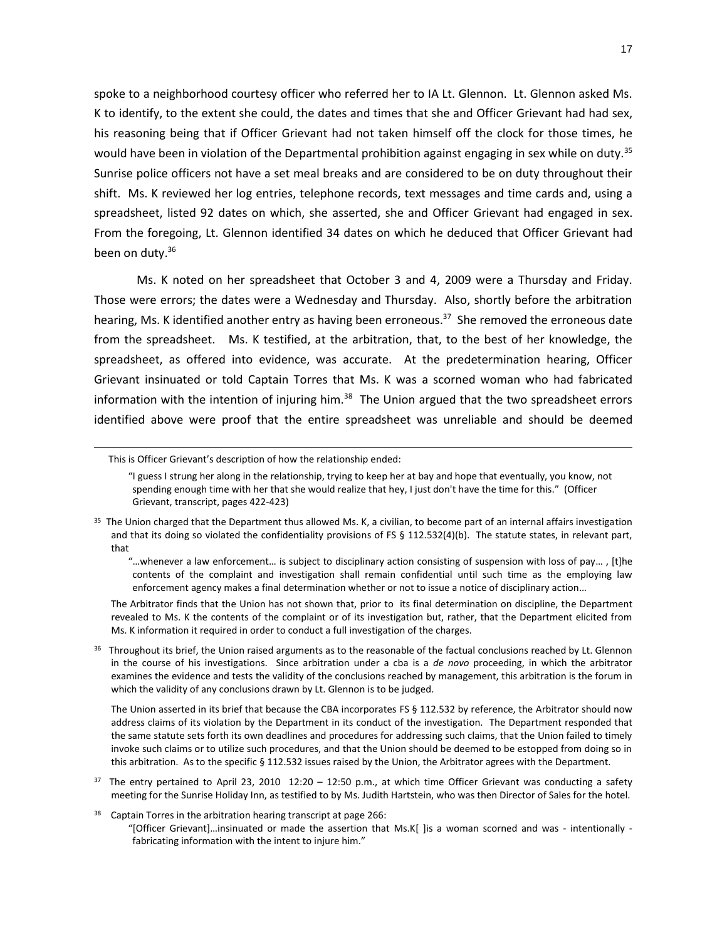spoke to a neighborhood courtesy officer who referred her to IA Lt. Glennon. Lt. Glennon asked Ms. K to identify, to the extent she could, the dates and times that she and Officer Grievant had had sex, his reasoning being that if Officer Grievant had not taken himself off the clock for those times, he would have been in violation of the Departmental prohibition against engaging in sex while on duty.<sup>35</sup> Sunrise police officers not have a set meal breaks and are considered to be on duty throughout their shift. Ms. K reviewed her log entries, telephone records, text messages and time cards and, using a spreadsheet, listed 92 dates on which, she asserted, she and Officer Grievant had engaged in sex. From the foregoing, Lt. Glennon identified 34 dates on which he deduced that Officer Grievant had been on duty.<sup>36</sup>

Ms. K noted on her spreadsheet that October 3 and 4, 2009 were a Thursday and Friday. Those were errors; the dates were a Wednesday and Thursday. Also, shortly before the arbitration hearing, Ms. K identified another entry as having been erroneous.<sup>37</sup> She removed the erroneous date from the spreadsheet. Ms. K testified, at the arbitration, that, to the best of her knowledge, the spreadsheet, as offered into evidence, was accurate. At the predetermination hearing, Officer Grievant insinuated or told Captain Torres that Ms. K was a scorned woman who had fabricated information with the intention of injuring him.<sup>38</sup> The Union argued that the two spreadsheet errors identified above were proof that the entire spreadsheet was unreliable and should be deemed

l

 The Arbitrator finds that the Union has not shown that, prior to its final determination on discipline, the Department revealed to Ms. K the contents of the complaint or of its investigation but, rather, that the Department elicited from Ms. K information it required in order to conduct a full investigation of the charges.

<sup>36</sup> Throughout its brief, the Union raised arguments as to the reasonable of the factual conclusions reached by Lt. Glennon in the course of his investigations. Since arbitration under a cba is a *de novo* proceeding, in which the arbitrator examines the evidence and tests the validity of the conclusions reached by management, this arbitration is the forum in which the validity of any conclusions drawn by Lt. Glennon is to be judged.

The Union asserted in its brief that because the CBA incorporates FS § 112.532 by reference, the Arbitrator should now address claims of its violation by the Department in its conduct of the investigation. The Department responded that the same statute sets forth its own deadlines and procedures for addressing such claims, that the Union failed to timely invoke such claims or to utilize such procedures, and that the Union should be deemed to be estopped from doing so in this arbitration. As to the specific § 112.532 issues raised by the Union, the Arbitrator agrees with the Department.

- $37$  The entry pertained to April 23, 2010 12:20 12:50 p.m., at which time Officer Grievant was conducting a safety meeting for the Sunrise Holiday Inn, as testified to by Ms. Judith Hartstein, who was then Director of Sales for the hotel.
- 38 Captain Torres in the arbitration hearing transcript at page 266: "[Officer Grievant]…insinuated or made the assertion that Ms.K[ ]is a woman scorned and was - intentionally fabricating information with the intent to injure him."

This is Officer Grievant's description of how the relationship ended:

<sup>&</sup>quot;I guess I strung her along in the relationship, trying to keep her at bay and hope that eventually, you know, not spending enough time with her that she would realize that hey, I just don't have the time for this." (Officer Grievant, transcript, pages 422-423)

<sup>&</sup>lt;sup>35</sup> The Union charged that the Department thus allowed Ms. K, a civilian, to become part of an internal affairs investigation and that its doing so violated the confidentiality provisions of FS § 112.532(4)(b). The statute states, in relevant part, that

<sup>&</sup>quot;…whenever a law enforcement… is subject to disciplinary action consisting of suspension with loss of pay… , [t]he contents of the complaint and investigation shall remain confidential until such time as the employing law enforcement agency makes a final determination whether or not to issue a notice of disciplinary action…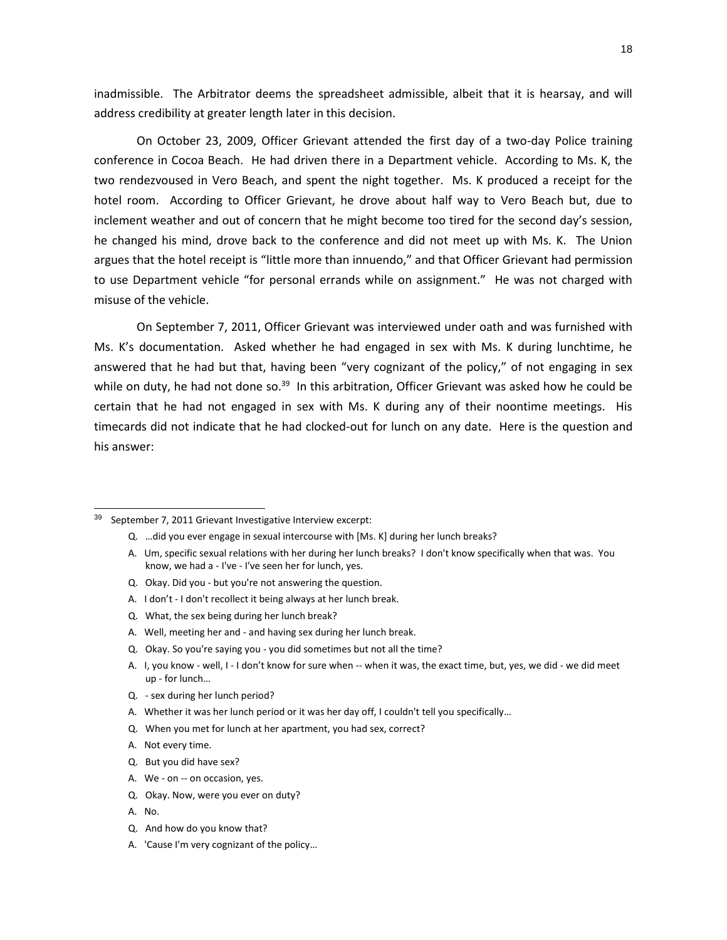inadmissible. The Arbitrator deems the spreadsheet admissible, albeit that it is hearsay, and will address credibility at greater length later in this decision.

On October 23, 2009, Officer Grievant attended the first day of a two-day Police training conference in Cocoa Beach. He had driven there in a Department vehicle. According to Ms. K, the two rendezvoused in Vero Beach, and spent the night together. Ms. K produced a receipt for the hotel room. According to Officer Grievant, he drove about half way to Vero Beach but, due to inclement weather and out of concern that he might become too tired for the second day's session, he changed his mind, drove back to the conference and did not meet up with Ms. K. The Union argues that the hotel receipt is "little more than innuendo," and that Officer Grievant had permission to use Department vehicle "for personal errands while on assignment." He was not charged with misuse of the vehicle.

On September 7, 2011, Officer Grievant was interviewed under oath and was furnished with Ms. K's documentation. Asked whether he had engaged in sex with Ms. K during lunchtime, he answered that he had but that, having been "very cognizant of the policy," of not engaging in sex while on duty, he had not done so.<sup>39</sup> In this arbitration, Officer Grievant was asked how he could be certain that he had not engaged in sex with Ms. K during any of their noontime meetings. His timecards did not indicate that he had clocked-out for lunch on any date. Here is the question and his answer:

- Q. Okay. Did you but you're not answering the question.
- A. I don't I don't recollect it being always at her lunch break.
- Q. What, the sex being during her lunch break?
- A. Well, meeting her and and having sex during her lunch break.
- Q. Okay. So you're saying you you did sometimes but not all the time?
- A. I, you know well, I I don't know for sure when -- when it was, the exact time, but, yes, we did we did meet up - for lunch…
- Q. sex during her lunch period?
- A. Whether it was her lunch period or it was her day off, I couldn't tell you specifically…
- Q. When you met for lunch at her apartment, you had sex, correct?
- A. Not every time.
- Q. But you did have sex?
- A. We on -- on occasion, yes.
- Q. Okay. Now, were you ever on duty?
- A. No.

 $\overline{a}$ 

- Q. And how do you know that?
- A. 'Cause I'm very cognizant of the policy…

<sup>&</sup>lt;sup>39</sup> September 7, 2011 Grievant Investigative Interview excerpt:

Q. …did you ever engage in sexual intercourse with [Ms. K] during her lunch breaks?

A. Um, specific sexual relations with her during her lunch breaks? I don't know specifically when that was. You know, we had a - I've - I've seen her for lunch, yes.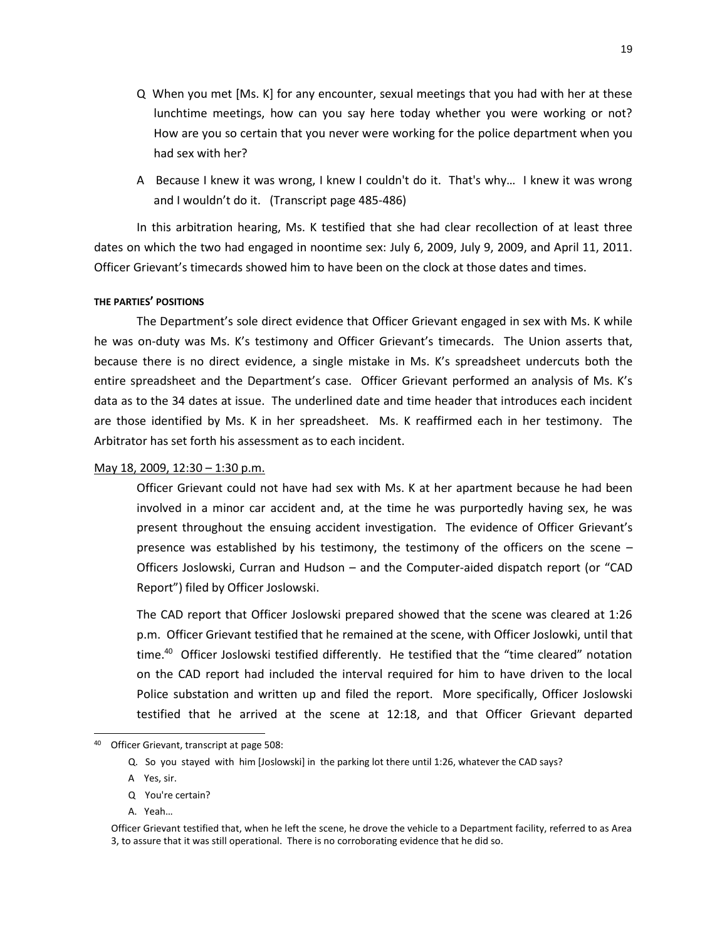- Q When you met [Ms. K] for any encounter, sexual meetings that you had with her at these lunchtime meetings, how can you say here today whether you were working or not? How are you so certain that you never were working for the police department when you had sex with her?
- A Because I knew it was wrong, I knew I couldn't do it. That's why… I knew it was wrong and I wouldn't do it. (Transcript page 485-486)

In this arbitration hearing, Ms. K testified that she had clear recollection of at least three dates on which the two had engaged in noontime sex: July 6, 2009, July 9, 2009, and April 11, 2011. Officer Grievant's timecards showed him to have been on the clock at those dates and times.

## **THE PARTIES' POSITIONS**

The Department's sole direct evidence that Officer Grievant engaged in sex with Ms. K while he was on-duty was Ms. K's testimony and Officer Grievant's timecards. The Union asserts that, because there is no direct evidence, a single mistake in Ms. K's spreadsheet undercuts both the entire spreadsheet and the Department's case. Officer Grievant performed an analysis of Ms. K's data as to the 34 dates at issue. The underlined date and time header that introduces each incident are those identified by Ms. K in her spreadsheet. Ms. K reaffirmed each in her testimony. The Arbitrator has set forth his assessment as to each incident.

### May 18, 2009, 12:30 – 1:30 p.m.

Officer Grievant could not have had sex with Ms. K at her apartment because he had been involved in a minor car accident and, at the time he was purportedly having sex, he was present throughout the ensuing accident investigation. The evidence of Officer Grievant's presence was established by his testimony, the testimony of the officers on the scene – Officers Joslowski, Curran and Hudson – and the Computer-aided dispatch report (or "CAD Report") filed by Officer Joslowski.

The CAD report that Officer Joslowski prepared showed that the scene was cleared at 1:26 p.m. Officer Grievant testified that he remained at the scene, with Officer Joslowki, until that time.<sup>40</sup> Officer Joslowski testified differently. He testified that the "time cleared" notation on the CAD report had included the interval required for him to have driven to the local Police substation and written up and filed the report. More specifically, Officer Joslowski testified that he arrived at the scene at 12:18, and that Officer Grievant departed

l

<sup>40</sup> Officer Grievant, transcript at page 508:

Q. So you stayed with him [Joslowski] in the parking lot there until 1:26, whatever the CAD says?

A Yes, sir.

Q You're certain?

A. Yeah…

Officer Grievant testified that, when he left the scene, he drove the vehicle to a Department facility, referred to as Area 3, to assure that it was still operational. There is no corroborating evidence that he did so.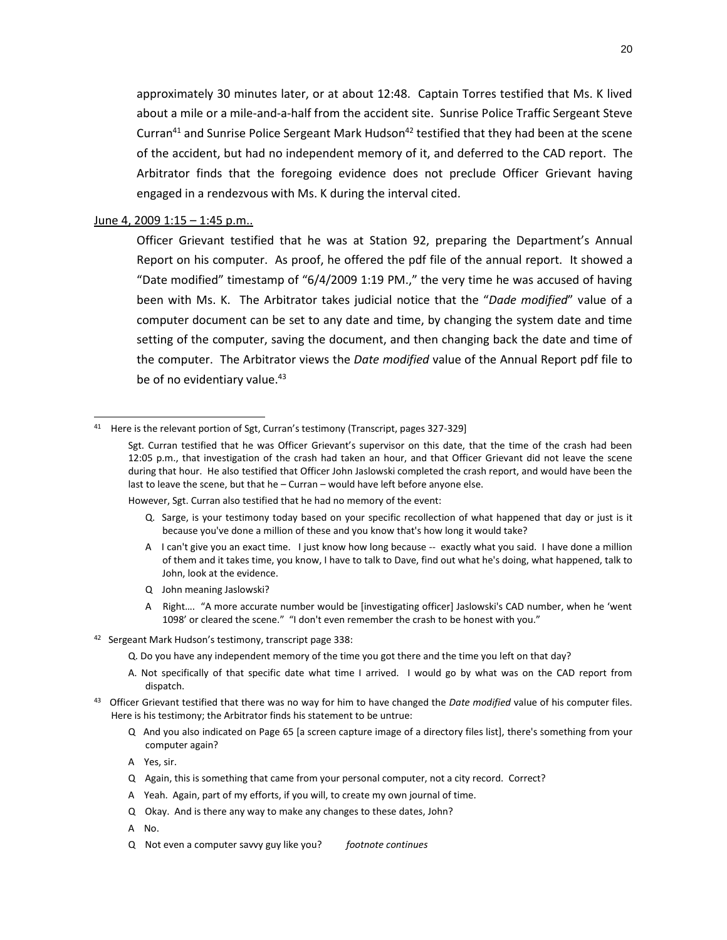approximately 30 minutes later, or at about 12:48. Captain Torres testified that Ms. K lived about a mile or a mile-and-a-half from the accident site. Sunrise Police Traffic Sergeant Steve Curran<sup>41</sup> and Sunrise Police Sergeant Mark Hudson<sup>42</sup> testified that they had been at the scene of the accident, but had no independent memory of it, and deferred to the CAD report. The Arbitrator finds that the foregoing evidence does not preclude Officer Grievant having engaged in a rendezvous with Ms. K during the interval cited.

# June 4, 2009 1:15 – 1:45 p.m..

 $\overline{a}$ 

Officer Grievant testified that he was at Station 92, preparing the Department's Annual Report on his computer. As proof, he offered the pdf file of the annual report. It showed a "Date modified" timestamp of "6/4/2009 1:19 PM.," the very time he was accused of having been with Ms. K. The Arbitrator takes judicial notice that the "*Dade modified*" value of a computer document can be set to any date and time, by changing the system date and time setting of the computer, saving the document, and then changing back the date and time of the computer. The Arbitrator views the *Date modified* value of the Annual Report pdf file to be of no evidentiary value.<sup>43</sup>

However, Sgt. Curran also testified that he had no memory of the event:

- Q. Sarge, is your testimony today based on your specific recollection of what happened that day or just is it because you've done a million of these and you know that's how long it would take?
- A I can't give you an exact time. I just know how long because -- exactly what you said. I have done a million of them and it takes time, you know, I have to talk to Dave, find out what he's doing, what happened, talk to John, look at the evidence.
- Q John meaning Jaslowski?
- A Right…. "A more accurate number would be [investigating officer] Jaslowski's CAD number, when he 'went 1098' or cleared the scene." "I don't even remember the crash to be honest with you."
- <sup>42</sup> Sergeant Mark Hudson's testimony, transcript page 338:
	- Q. Do you have any independent memory of the time you got there and the time you left on that day?
	- A. Not specifically of that specific date what time I arrived. I would go by what was on the CAD report from dispatch.
- 43 Officer Grievant testified that there was no way for him to have changed the *Date modified* value of his computer files. Here is his testimony; the Arbitrator finds his statement to be untrue:
	- Q And you also indicated on Page 65 [a screen capture image of a directory files list], there's something from your computer again?
	- A Yes, sir.
	- Q Again, this is something that came from your personal computer, not a city record. Correct?
	- A Yeah. Again, part of my efforts, if you will, to create my own journal of time.
	- Q Okay. And is there any way to make any changes to these dates, John?
	- A No.
	- Q Not even a computer savvy guy like you? *footnote continues*

<sup>41</sup> Here is the relevant portion of Sgt, Curran's testimony (Transcript, pages 327-329]

Sgt. Curran testified that he was Officer Grievant's supervisor on this date, that the time of the crash had been 12:05 p.m., that investigation of the crash had taken an hour, and that Officer Grievant did not leave the scene during that hour. He also testified that Officer John Jaslowski completed the crash report, and would have been the last to leave the scene, but that he – Curran – would have left before anyone else.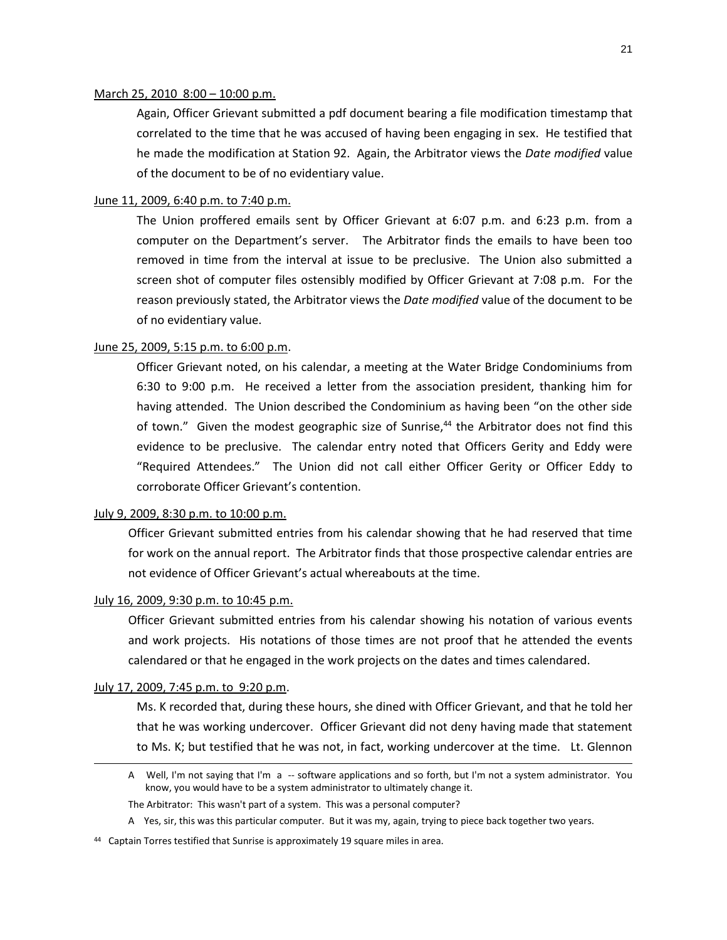#### March 25, 2010 8:00 – 10:00 p.m.

Again, Officer Grievant submitted a pdf document bearing a file modification timestamp that correlated to the time that he was accused of having been engaging in sex. He testified that he made the modification at Station 92. Again, the Arbitrator views the *Date modified* value of the document to be of no evidentiary value.

### June 11, 2009, 6:40 p.m. to 7:40 p.m.

The Union proffered emails sent by Officer Grievant at 6:07 p.m. and 6:23 p.m. from a computer on the Department's server. The Arbitrator finds the emails to have been too removed in time from the interval at issue to be preclusive. The Union also submitted a screen shot of computer files ostensibly modified by Officer Grievant at 7:08 p.m. For the reason previously stated, the Arbitrator views the *Date modified* value of the document to be of no evidentiary value.

## June 25, 2009, 5:15 p.m. to 6:00 p.m.

Officer Grievant noted, on his calendar, a meeting at the Water Bridge Condominiums from 6:30 to 9:00 p.m. He received a letter from the association president, thanking him for having attended. The Union described the Condominium as having been "on the other side of town." Given the modest geographic size of Sunrise,<sup>44</sup> the Arbitrator does not find this evidence to be preclusive. The calendar entry noted that Officers Gerity and Eddy were "Required Attendees." The Union did not call either Officer Gerity or Officer Eddy to corroborate Officer Grievant's contention.

## July 9, 2009, 8:30 p.m. to 10:00 p.m.

Officer Grievant submitted entries from his calendar showing that he had reserved that time for work on the annual report. The Arbitrator finds that those prospective calendar entries are not evidence of Officer Grievant's actual whereabouts at the time.

# July 16, 2009, 9:30 p.m. to 10:45 p.m.

Officer Grievant submitted entries from his calendar showing his notation of various events and work projects. His notations of those times are not proof that he attended the events calendared or that he engaged in the work projects on the dates and times calendared.

## July 17, 2009, 7:45 p.m. to 9:20 p.m.

 $\overline{a}$ 

Ms. K recorded that, during these hours, she dined with Officer Grievant, and that he told her that he was working undercover. Officer Grievant did not deny having made that statement to Ms. K; but testified that he was not, in fact, working undercover at the time. Lt. Glennon

A Well, I'm not saying that I'm a -- software applications and so forth, but I'm not a system administrator. You know, you would have to be a system administrator to ultimately change it.

The Arbitrator: This wasn't part of a system. This was a personal computer?

A Yes, sir, this was this particular computer. But it was my, again, trying to piece back together two years.

<sup>&</sup>lt;sup>44</sup> Captain Torres testified that Sunrise is approximately 19 square miles in area.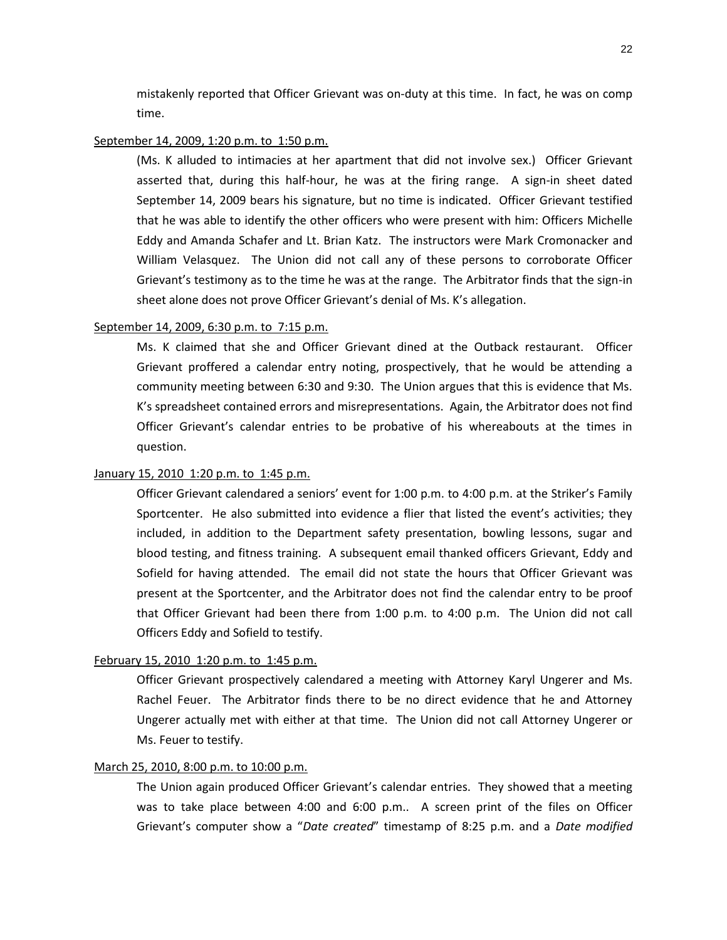mistakenly reported that Officer Grievant was on-duty at this time. In fact, he was on comp time.

### September 14, 2009, 1:20 p.m. to 1:50 p.m.

(Ms. K alluded to intimacies at her apartment that did not involve sex.) Officer Grievant asserted that, during this half-hour, he was at the firing range. A sign-in sheet dated September 14, 2009 bears his signature, but no time is indicated. Officer Grievant testified that he was able to identify the other officers who were present with him: Officers Michelle Eddy and Amanda Schafer and Lt. Brian Katz. The instructors were Mark Cromonacker and William Velasquez. The Union did not call any of these persons to corroborate Officer Grievant's testimony as to the time he was at the range. The Arbitrator finds that the sign-in sheet alone does not prove Officer Grievant's denial of Ms. K's allegation.

# September 14, 2009, 6:30 p.m. to 7:15 p.m.

Ms. K claimed that she and Officer Grievant dined at the Outback restaurant. Officer Grievant proffered a calendar entry noting, prospectively, that he would be attending a community meeting between 6:30 and 9:30. The Union argues that this is evidence that Ms. K's spreadsheet contained errors and misrepresentations. Again, the Arbitrator does not find Officer Grievant's calendar entries to be probative of his whereabouts at the times in question.

#### January 15, 2010 1:20 p.m. to 1:45 p.m.

Officer Grievant calendared a seniors' event for 1:00 p.m. to 4:00 p.m. at the Striker's Family Sportcenter. He also submitted into evidence a flier that listed the event's activities; they included, in addition to the Department safety presentation, bowling lessons, sugar and blood testing, and fitness training. A subsequent email thanked officers Grievant, Eddy and Sofield for having attended. The email did not state the hours that Officer Grievant was present at the Sportcenter, and the Arbitrator does not find the calendar entry to be proof that Officer Grievant had been there from 1:00 p.m. to 4:00 p.m. The Union did not call Officers Eddy and Sofield to testify.

## February 15, 2010 1:20 p.m. to 1:45 p.m.

Officer Grievant prospectively calendared a meeting with Attorney Karyl Ungerer and Ms. Rachel Feuer. The Arbitrator finds there to be no direct evidence that he and Attorney Ungerer actually met with either at that time. The Union did not call Attorney Ungerer or Ms. Feuer to testify.

## March 25, 2010, 8:00 p.m. to 10:00 p.m.

The Union again produced Officer Grievant's calendar entries. They showed that a meeting was to take place between 4:00 and 6:00 p.m.. A screen print of the files on Officer Grievant's computer show a "*Date created*" timestamp of 8:25 p.m. and a *Date modified*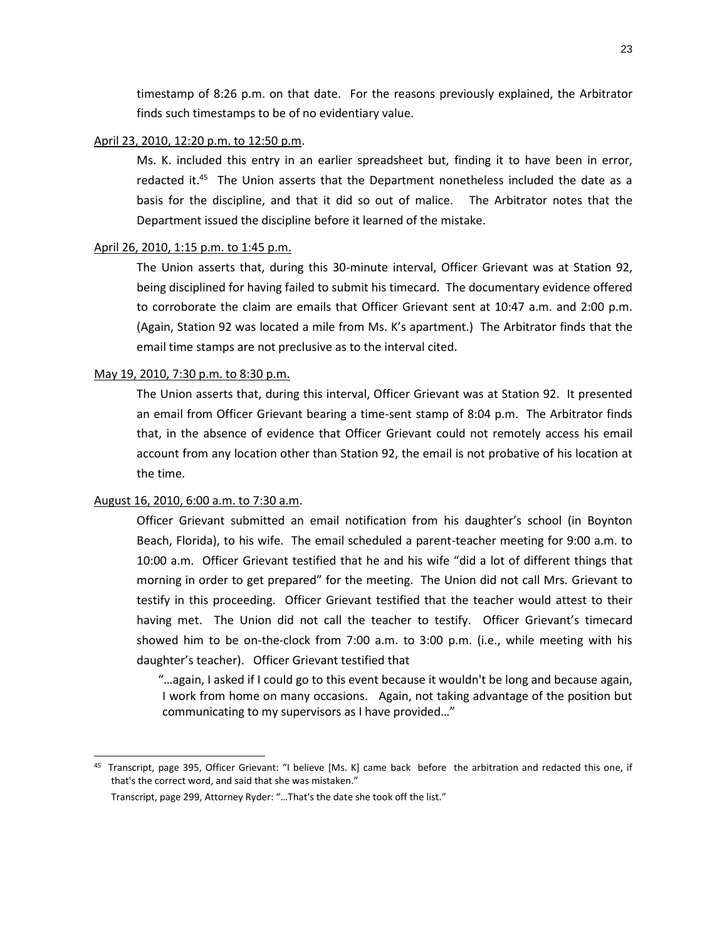timestamp of 8:26 p.m. on that date. For the reasons previously explained, the Arbitrator finds such timestamps to be of no evidentiary value.

### April 23, 2010, 12:20 p.m. to 12:50 p.m.

Ms. K. included this entry in an earlier spreadsheet but, finding it to have been in error, redacted it.<sup>45</sup> The Union asserts that the Department nonetheless included the date as a basis for the discipline, and that it did so out of malice. The Arbitrator notes that the Department issued the discipline before it learned of the mistake.

## April 26, 2010, 1:15 p.m. to 1:45 p.m.

The Union asserts that, during this 30-minute interval, Officer Grievant was at Station 92, being disciplined for having failed to submit his timecard. The documentary evidence offered to corroborate the claim are emails that Officer Grievant sent at 10:47 a.m. and 2:00 p.m. (Again, Station 92 was located a mile from Ms. K's apartment.) The Arbitrator finds that the email time stamps are not preclusive as to the interval cited.

## May 19, 2010, 7:30 p.m. to 8:30 p.m.

The Union asserts that, during this interval, Officer Grievant was at Station 92. It presented an email from Officer Grievant bearing a time-sent stamp of 8:04 p.m. The Arbitrator finds that, in the absence of evidence that Officer Grievant could not remotely access his email account from any location other than Station 92, the email is not probative of his location at the time.

## August 16, 2010, 6:00 a.m. to 7:30 a.m.

l

Officer Grievant submitted an email notification from his daughter's school (in Boynton Beach, Florida), to his wife. The email scheduled a parent-teacher meeting for 9:00 a.m. to 10:00 a.m. Officer Grievant testified that he and his wife "did a lot of different things that morning in order to get prepared" for the meeting. The Union did not call Mrs. Grievant to testify in this proceeding. Officer Grievant testified that the teacher would attest to their having met. The Union did not call the teacher to testify. Officer Grievant's timecard showed him to be on-the-clock from 7:00 a.m. to 3:00 p.m. (i.e., while meeting with his daughter's teacher). Officer Grievant testified that

"…again, I asked if I could go to this event because it wouldn't be long and because again, I work from home on many occasions. Again, not taking advantage of the position but communicating to my supervisors as I have provided…"

<sup>45</sup> Transcript, page 395, Officer Grievant: "I believe [Ms. K] came back before the arbitration and redacted this one, if that's the correct word, and said that she was mistaken."

Transcript, page 299, Attorney Ryder: "…That's the date she took off the list."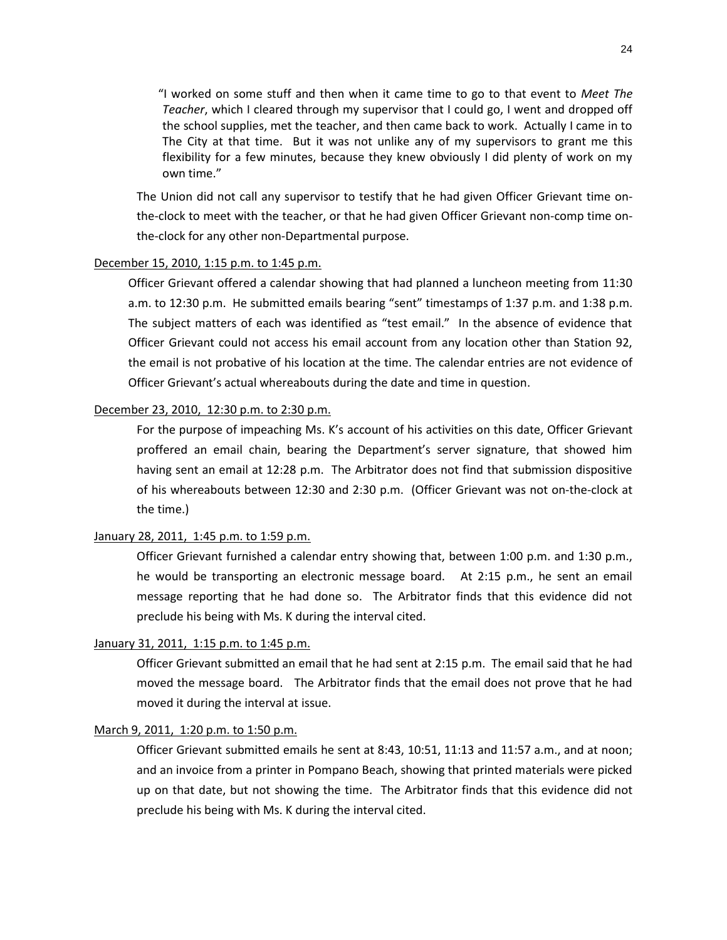"I worked on some stuff and then when it came time to go to that event to *Meet The Teacher*, which I cleared through my supervisor that I could go, I went and dropped off the school supplies, met the teacher, and then came back to work. Actually I came in to The City at that time. But it was not unlike any of my supervisors to grant me this flexibility for a few minutes, because they knew obviously I did plenty of work on my own time."

The Union did not call any supervisor to testify that he had given Officer Grievant time onthe-clock to meet with the teacher, or that he had given Officer Grievant non-comp time onthe-clock for any other non-Departmental purpose.

# December 15, 2010, 1:15 p.m. to 1:45 p.m.

Officer Grievant offered a calendar showing that had planned a luncheon meeting from 11:30 a.m. to 12:30 p.m. He submitted emails bearing "sent" timestamps of 1:37 p.m. and 1:38 p.m. The subject matters of each was identified as "test email." In the absence of evidence that Officer Grievant could not access his email account from any location other than Station 92, the email is not probative of his location at the time. The calendar entries are not evidence of Officer Grievant's actual whereabouts during the date and time in question.

# December 23, 2010, 12:30 p.m. to 2:30 p.m.

For the purpose of impeaching Ms. K's account of his activities on this date, Officer Grievant proffered an email chain, bearing the Department's server signature, that showed him having sent an email at 12:28 p.m. The Arbitrator does not find that submission dispositive of his whereabouts between 12:30 and 2:30 p.m. (Officer Grievant was not on-the-clock at the time.)

# January 28, 2011, 1:45 p.m. to 1:59 p.m.

Officer Grievant furnished a calendar entry showing that, between 1:00 p.m. and 1:30 p.m., he would be transporting an electronic message board. At 2:15 p.m., he sent an email message reporting that he had done so. The Arbitrator finds that this evidence did not preclude his being with Ms. K during the interval cited.

# January 31, 2011, 1:15 p.m. to 1:45 p.m.

Officer Grievant submitted an email that he had sent at 2:15 p.m. The email said that he had moved the message board. The Arbitrator finds that the email does not prove that he had moved it during the interval at issue.

# March 9, 2011, 1:20 p.m. to 1:50 p.m.

Officer Grievant submitted emails he sent at 8:43, 10:51, 11:13 and 11:57 a.m., and at noon; and an invoice from a printer in Pompano Beach, showing that printed materials were picked up on that date, but not showing the time. The Arbitrator finds that this evidence did not preclude his being with Ms. K during the interval cited.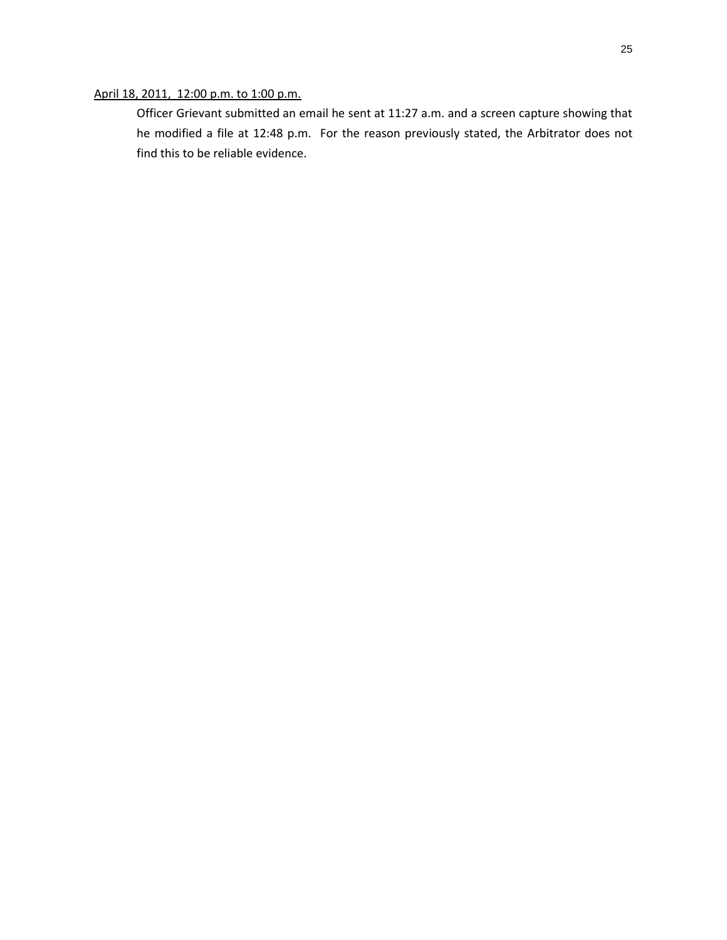# April 18, 2011, 12:00 p.m. to 1:00 p.m.

Officer Grievant submitted an email he sent at 11:27 a.m. and a screen capture showing that he modified a file at 12:48 p.m. For the reason previously stated, the Arbitrator does not find this to be reliable evidence.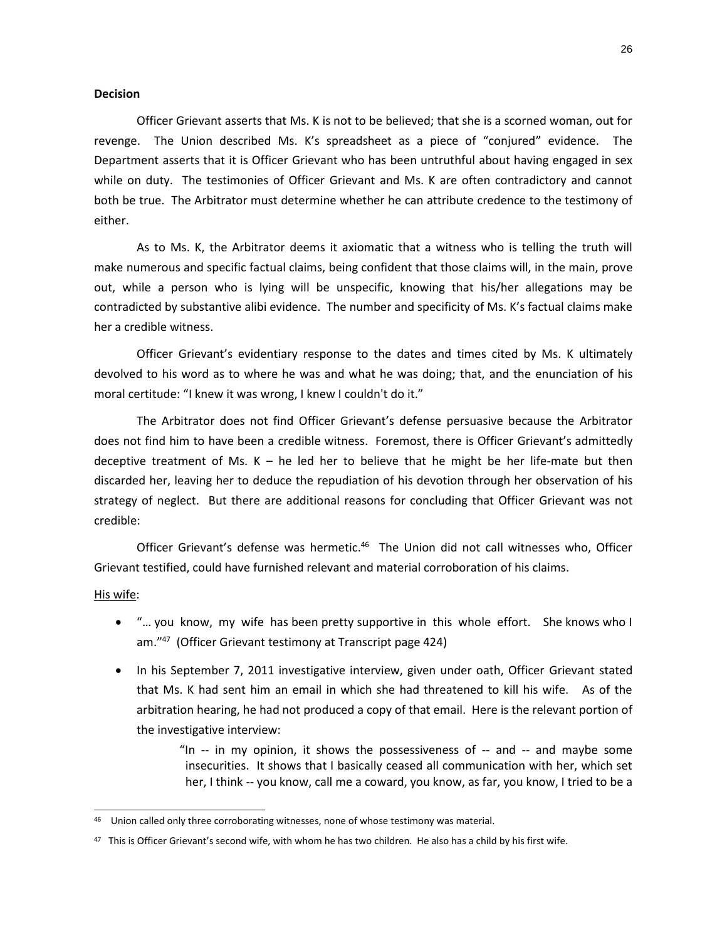## **Decision**

Officer Grievant asserts that Ms. K is not to be believed; that she is a scorned woman, out for revenge. The Union described Ms. K's spreadsheet as a piece of "conjured" evidence. The Department asserts that it is Officer Grievant who has been untruthful about having engaged in sex while on duty. The testimonies of Officer Grievant and Ms. K are often contradictory and cannot both be true. The Arbitrator must determine whether he can attribute credence to the testimony of either.

As to Ms. K, the Arbitrator deems it axiomatic that a witness who is telling the truth will make numerous and specific factual claims, being confident that those claims will, in the main, prove out, while a person who is lying will be unspecific, knowing that his/her allegations may be contradicted by substantive alibi evidence. The number and specificity of Ms. K's factual claims make her a credible witness.

Officer Grievant's evidentiary response to the dates and times cited by Ms. K ultimately devolved to his word as to where he was and what he was doing; that, and the enunciation of his moral certitude: "I knew it was wrong, I knew I couldn't do it."

The Arbitrator does not find Officer Grievant's defense persuasive because the Arbitrator does not find him to have been a credible witness. Foremost, there is Officer Grievant's admittedly deceptive treatment of Ms.  $K -$  he led her to believe that he might be her life-mate but then discarded her, leaving her to deduce the repudiation of his devotion through her observation of his strategy of neglect. But there are additional reasons for concluding that Officer Grievant was not credible:

Officer Grievant's defense was hermetic.<sup>46</sup> The Union did not call witnesses who, Officer Grievant testified, could have furnished relevant and material corroboration of his claims.

### His wife:

 $\overline{a}$ 

- "… you know, my wife has been pretty supportive in this whole effort. She knows who I am."<sup>47</sup> (Officer Grievant testimony at Transcript page 424)
- In his September 7, 2011 investigative interview, given under oath, Officer Grievant stated that Ms. K had sent him an email in which she had threatened to kill his wife. As of the arbitration hearing, he had not produced a copy of that email. Here is the relevant portion of the investigative interview:

"In  $-$  in my opinion, it shows the possessiveness of  $-$  and  $-$  and maybe some insecurities. It shows that I basically ceased all communication with her, which set her, I think -- you know, call me a coward, you know, as far, you know, I tried to be a

<sup>&</sup>lt;sup>46</sup> Union called only three corroborating witnesses, none of whose testimony was material.

 $^{47}$  This is Officer Grievant's second wife, with whom he has two children. He also has a child by his first wife.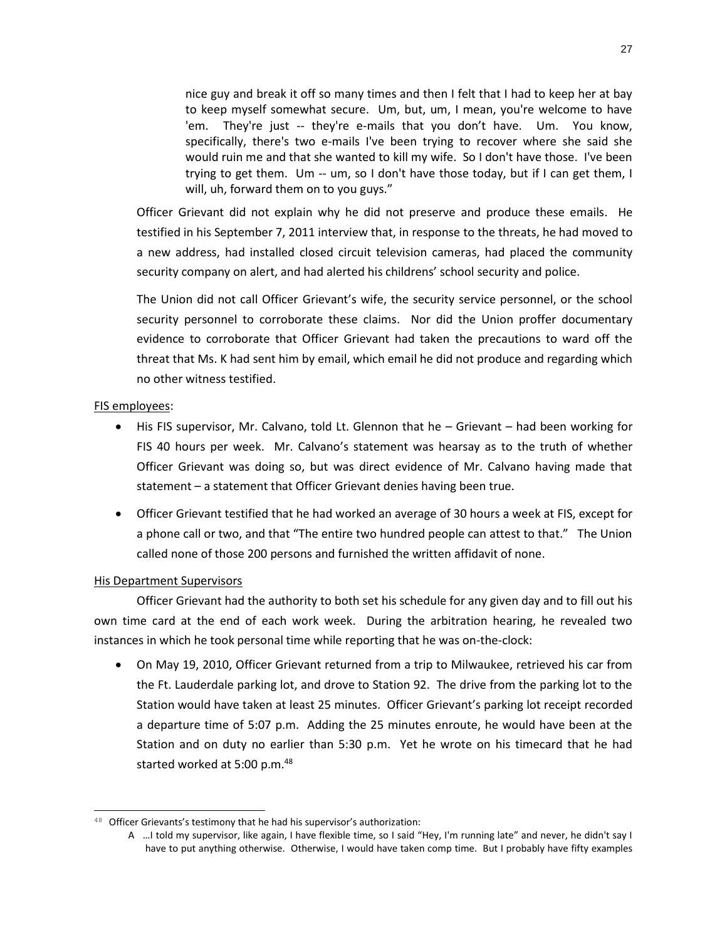nice guy and break it off so many times and then I felt that I had to keep her at bay to keep myself somewhat secure. Um, but, um, I mean, you're welcome to have 'em. They're just -- they're e-mails that you don't have. Um. You know, specifically, there's two e-mails I've been trying to recover where she said she would ruin me and that she wanted to kill my wife. So I don't have those. I've been trying to get them. Um -- um, so I don't have those today, but if I can get them, I will, uh, forward them on to you guys."

Officer Grievant did not explain why he did not preserve and produce these emails. He testified in his September 7, 2011 interview that, in response to the threats, he had moved to a new address, had installed closed circuit television cameras, had placed the community security company on alert, and had alerted his childrens' school security and police.

The Union did not call Officer Grievant's wife, the security service personnel, or the school security personnel to corroborate these claims. Nor did the Union proffer documentary evidence to corroborate that Officer Grievant had taken the precautions to ward off the threat that Ms. K had sent him by email, which email he did not produce and regarding which no other witness testified.

# FIS employees:

- His FIS supervisor, Mr. Calvano, told Lt. Glennon that he Grievant had been working for FIS 40 hours per week. Mr. Calvano's statement was hearsay as to the truth of whether Officer Grievant was doing so, but was direct evidence of Mr. Calvano having made that statement – a statement that Officer Grievant denies having been true.
- Officer Grievant testified that he had worked an average of 30 hours a week at FIS, except for a phone call or two, and that "The entire two hundred people can attest to that." The Union called none of those 200 persons and furnished the written affidavit of none.

# His Department Supervisors

 $\overline{a}$ 

Officer Grievant had the authority to both set his schedule for any given day and to fill out his own time card at the end of each work week. During the arbitration hearing, he revealed two instances in which he took personal time while reporting that he was on-the-clock:

• On May 19, 2010, Officer Grievant returned from a trip to Milwaukee, retrieved his car from the Ft. Lauderdale parking lot, and drove to Station 92. The drive from the parking lot to the Station would have taken at least 25 minutes. Officer Grievant's parking lot receipt recorded a departure time of 5:07 p.m. Adding the 25 minutes enroute, he would have been at the Station and on duty no earlier than 5:30 p.m. Yet he wrote on his timecard that he had started worked at 5:00 p.m.<sup>48</sup>

<sup>48</sup> Officer Grievants's testimony that he had his supervisor's authorization:

A …I told my supervisor, like again, I have flexible time, so I said "Hey, I'm running late" and never, he didn't say I have to put anything otherwise. Otherwise, I would have taken comp time. But I probably have fifty examples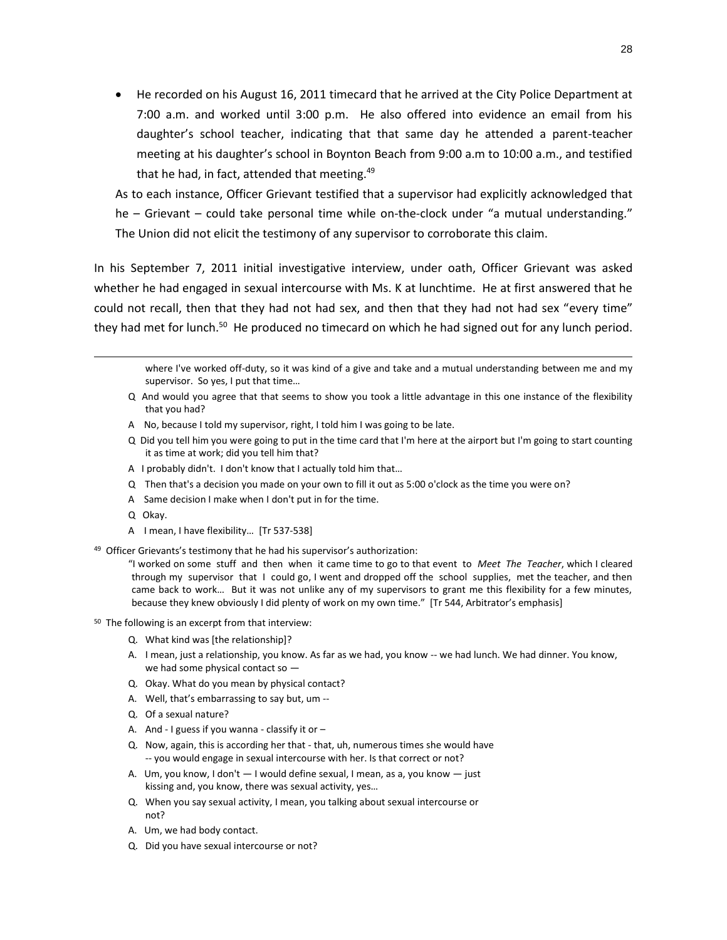• He recorded on his August 16, 2011 timecard that he arrived at the City Police Department at 7:00 a.m. and worked until 3:00 p.m. He also offered into evidence an email from his daughter's school teacher, indicating that that same day he attended a parent-teacher meeting at his daughter's school in Boynton Beach from 9:00 a.m to 10:00 a.m., and testified that he had, in fact, attended that meeting.<sup>49</sup>

As to each instance, Officer Grievant testified that a supervisor had explicitly acknowledged that he – Grievant – could take personal time while on-the-clock under "a mutual understanding." The Union did not elicit the testimony of any supervisor to corroborate this claim.

In his September 7, 2011 initial investigative interview, under oath, Officer Grievant was asked whether he had engaged in sexual intercourse with Ms. K at lunchtime. He at first answered that he could not recall, then that they had not had sex, and then that they had not had sex "every time" they had met for lunch.<sup>50</sup> He produced no timecard on which he had signed out for any lunch period.

where I've worked off-duty, so it was kind of a give and take and a mutual understanding between me and my supervisor. So yes, I put that time…

- Q And would you agree that that seems to show you took a little advantage in this one instance of the flexibility that you had?
- A No, because I told my supervisor, right, I told him I was going to be late.
- Q Did you tell him you were going to put in the time card that I'm here at the airport but I'm going to start counting it as time at work; did you tell him that?
- A I probably didn't. I don't know that I actually told him that…
- Q Then that's a decision you made on your own to fill it out as 5:00 o'clock as the time you were on?
- A Same decision I make when I don't put in for the time.
- Q Okay.

 $\overline{a}$ 

- A I mean, I have flexibility… [Tr 537-538]
- <sup>49</sup> Officer Grievants's testimony that he had his supervisor's authorization:

"I worked on some stuff and then when it came time to go to that event to *Meet The Teacher*, which I cleared through my supervisor that I could go, I went and dropped off the school supplies, met the teacher, and then came back to work… But it was not unlike any of my supervisors to grant me this flexibility for a few minutes, because they knew obviously I did plenty of work on my own time." [Tr 544, Arbitrator's emphasis]

- 50 The following is an excerpt from that interview:
	- Q. What kind was [the relationship]?
	- A. I mean, just a relationship, you know. As far as we had, you know -- we had lunch. We had dinner. You know, we had some physical contact so —
	- Q. Okay. What do you mean by physical contact?
	- A. Well, that's embarrassing to say but, um --
	- Q. Of a sexual nature?
	- A. And I guess if you wanna classify it or  $-$
	- Q. Now, again, this is according her that that, uh, numerous times she would have -- you would engage in sexual intercourse with her. Is that correct or not?
	- A. Um, you know, I don't I would define sexual, I mean, as a, you know just kissing and, you know, there was sexual activity, yes…
	- Q. When you say sexual activity, I mean, you talking about sexual intercourse or not?
	- A. Um, we had body contact.
	- Q. Did you have sexual intercourse or not?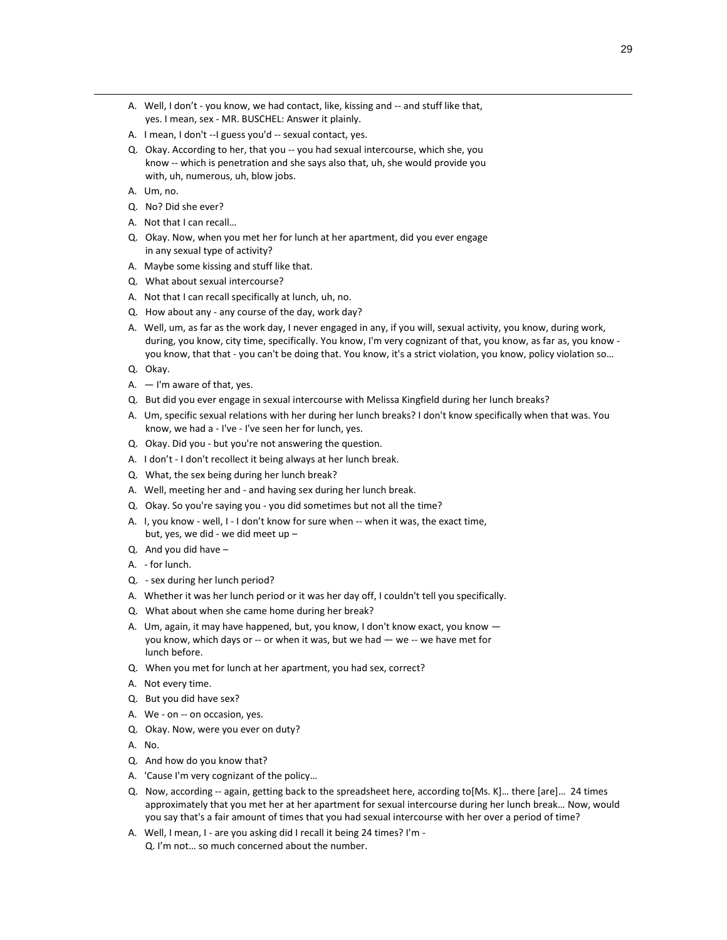- A. Well, I don't you know, we had contact, like, kissing and -- and stuff like that, yes. I mean, sex - MR. BUSCHEL: Answer it plainly.
- A. I mean, I don't --I guess you'd -- sexual contact, yes.
- Q. Okay. According to her, that you -- you had sexual intercourse, which she, you know -- which is penetration and she says also that, uh, she would provide you with, uh, numerous, uh, blow jobs.
- A. Um, no.

 $\overline{a}$ 

- Q. No? Did she ever?
- A. Not that I can recall…
- Q. Okay. Now, when you met her for lunch at her apartment, did you ever engage in any sexual type of activity?
- A. Maybe some kissing and stuff like that.
- Q. What about sexual intercourse?
- A. Not that I can recall specifically at lunch, uh, no.
- Q. How about any any course of the day, work day?
- A. Well, um, as far as the work day, I never engaged in any, if you will, sexual activity, you know, during work, during, you know, city time, specifically. You know, I'm very cognizant of that, you know, as far as, you know you know, that that - you can't be doing that. You know, it's a strict violation, you know, policy violation so…
- Q. Okay.
- $A. I'm$  aware of that, yes.
- Q. But did you ever engage in sexual intercourse with Melissa Kingfield during her lunch breaks?
- A. Um, specific sexual relations with her during her lunch breaks? I don't know specifically when that was. You know, we had a - I've - I've seen her for lunch, yes.
- Q. Okay. Did you but you're not answering the question.
- A. I don't I don't recollect it being always at her lunch break.
- Q. What, the sex being during her lunch break?
- A. Well, meeting her and and having sex during her lunch break.
- Q. Okay. So you're saying you you did sometimes but not all the time?
- A. I, you know well, I I don't know for sure when -- when it was, the exact time, but, yes, we did - we did meet up -
- Q. And you did have –
- A. for lunch.
- Q. sex during her lunch period?
- A. Whether it was her lunch period or it was her day off, I couldn't tell you specifically.
- Q. What about when she came home during her break?
- A. Um, again, it may have happened, but, you know, I don't know exact, you know you know, which days or -- or when it was, but we had — we -- we have met for lunch before.
- Q. When you met for lunch at her apartment, you had sex, correct?
- A. Not every time.
- Q. But you did have sex?
- A. We on -- on occasion, yes.
- Q. Okay. Now, were you ever on duty?
- A. No.
- Q. And how do you know that?
- A. 'Cause I'm very cognizant of the policy…
- Q. Now, according -- again, getting back to the spreadsheet here, according to[Ms. K]… there [are]… 24 times approximately that you met her at her apartment for sexual intercourse during her lunch break… Now, would you say that's a fair amount of times that you had sexual intercourse with her over a period of time?
- A. Well, I mean, I are you asking did I recall it being 24 times? I'm Q. I'm not… so much concerned about the number.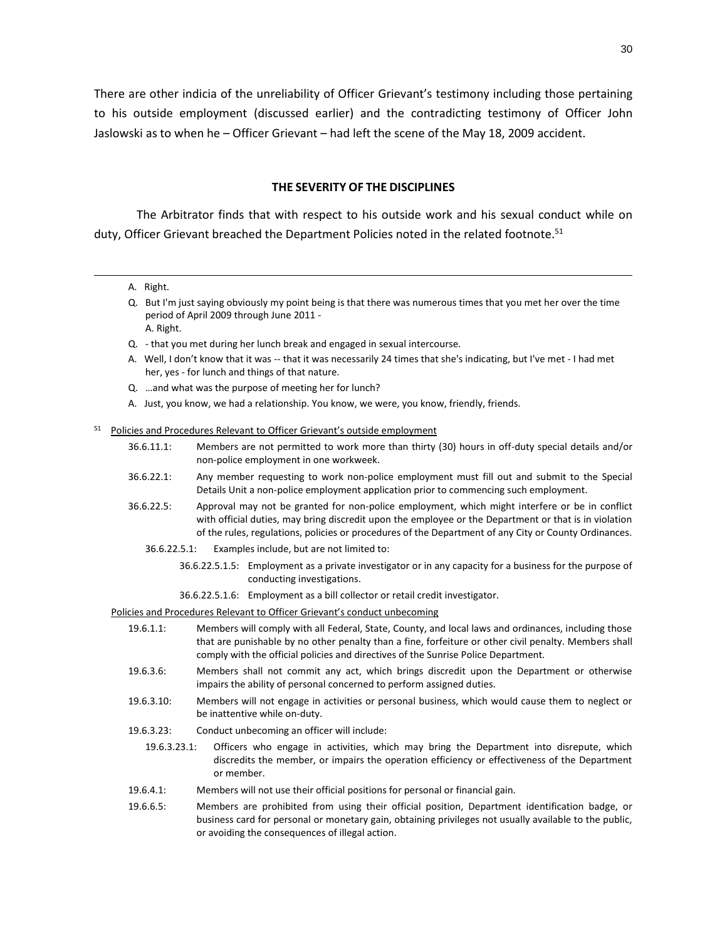There are other indicia of the unreliability of Officer Grievant's testimony including those pertaining to his outside employment (discussed earlier) and the contradicting testimony of Officer John Jaslowski as to when he – Officer Grievant – had left the scene of the May 18, 2009 accident.

#### **THE SEVERITY OF THE DISCIPLINES**

The Arbitrator finds that with respect to his outside work and his sexual conduct while on duty, Officer Grievant breached the Department Policies noted in the related footnote.<sup>51</sup>

A. Right.

 $\overline{a}$ 

- Q. But I'm just saying obviously my point being is that there was numerous times that you met her over the time period of April 2009 through June 2011 - A. Right.
- Q. that you met during her lunch break and engaged in sexual intercourse.
- A. Well, I don't know that it was -- that it was necessarily 24 times that she's indicating, but I've met I had met her, yes - for lunch and things of that nature.
- Q. …and what was the purpose of meeting her for lunch?
- A. Just, you know, we had a relationship. You know, we were, you know, friendly, friends.

#### <sup>51</sup> Policies and Procedures Relevant to Officer Grievant's outside employment

- 36.6.11.1: Members are not permitted to work more than thirty (30) hours in off-duty special details and/or non-police employment in one workweek.
- 36.6.22.1: Any member requesting to work non-police employment must fill out and submit to the Special Details Unit a non-police employment application prior to commencing such employment.
- 36.6.22.5: Approval may not be granted for non-police employment, which might interfere or be in conflict with official duties, may bring discredit upon the employee or the Department or that is in violation of the rules, regulations, policies or procedures of the Department of any City or County Ordinances.
	- 36.6.22.5.1: Examples include, but are not limited to:
		- 36.6.22.5.1.5: Employment as a private investigator or in any capacity for a business for the purpose of conducting investigations.
		- 36.6.22.5.1.6: Employment as a bill collector or retail credit investigator.

Policies and Procedures Relevant to Officer Grievant's conduct unbecoming

- 19.6.1.1: Members will comply with all Federal, State, County, and local laws and ordinances, including those that are punishable by no other penalty than a fine, forfeiture or other civil penalty. Members shall comply with the official policies and directives of the Sunrise Police Department.
- 19.6.3.6: Members shall not commit any act, which brings discredit upon the Department or otherwise impairs the ability of personal concerned to perform assigned duties.
- 19.6.3.10: Members will not engage in activities or personal business, which would cause them to neglect or be inattentive while on-duty.
- 19.6.3.23: Conduct unbecoming an officer will include:
	- 19.6.3.23.1: Officers who engage in activities, which may bring the Department into disrepute, which discredits the member, or impairs the operation efficiency or effectiveness of the Department or member.
- 19.6.4.1: Members will not use their official positions for personal or financial gain.
- 19.6.6.5: Members are prohibited from using their official position, Department identification badge, or business card for personal or monetary gain, obtaining privileges not usually available to the public, or avoiding the consequences of illegal action.